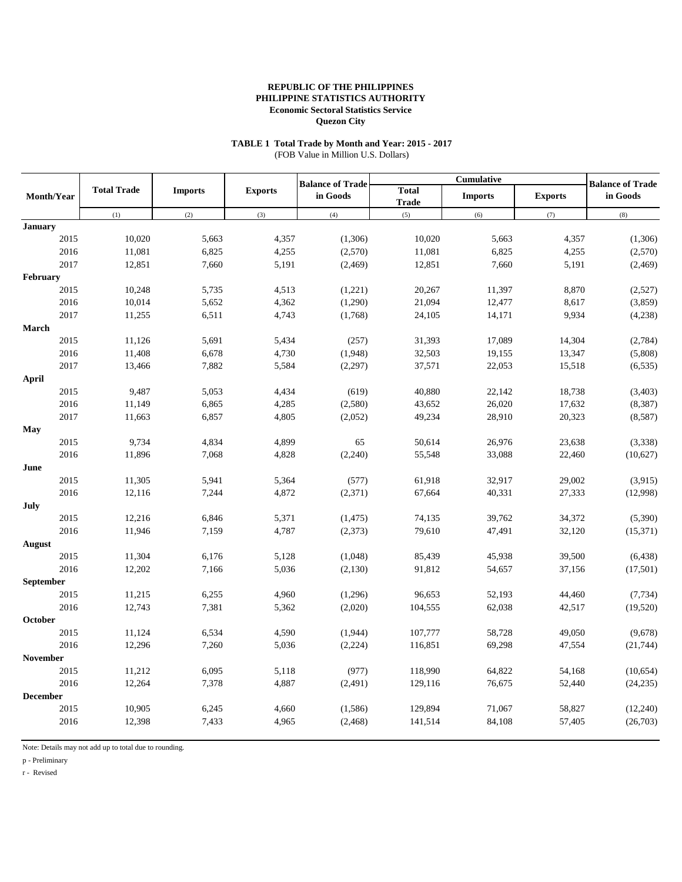# **TABLE 1 Total Trade by Month and Year: 2015 - 2017**

(FOB Value in Million U.S. Dollars)

|                 |                    |                |                | <b>Balance of Trade</b> |                              | <b>Cumulative</b> |                | <b>Balance of Trade</b> |
|-----------------|--------------------|----------------|----------------|-------------------------|------------------------------|-------------------|----------------|-------------------------|
| Month/Year      | <b>Total Trade</b> | <b>Imports</b> | <b>Exports</b> | in Goods                | <b>Total</b><br><b>Trade</b> | <b>Imports</b>    | <b>Exports</b> | in Goods                |
|                 | (1)                | (2)            | (3)            | (4)                     | (5)                          | (6)               | (7)            | (8)                     |
| <b>January</b>  |                    |                |                |                         |                              |                   |                |                         |
| 2015            | 10,020             | 5,663          | 4,357          | (1,306)                 | 10,020                       | 5,663             | 4,357          | (1,306)                 |
| 2016            | 11,081             | 6,825          | 4,255          | (2,570)                 | 11,081                       | 6,825             | 4,255          | (2,570)                 |
| 2017            | 12,851             | 7,660          | 5,191          | (2,469)                 | 12,851                       | 7,660             | 5,191          | (2, 469)                |
| February        |                    |                |                |                         |                              |                   |                |                         |
| 2015            | 10,248             | 5,735          | 4,513          | (1,221)                 | 20,267                       | 11,397            | 8,870          | (2,527)                 |
| 2016            | 10,014             | 5,652          | 4,362          | (1,290)                 | 21,094                       | 12,477            | 8,617          | (3,859)                 |
| 2017            | 11,255             | 6,511          | 4,743          | (1,768)                 | 24,105                       | 14,171            | 9,934          | (4,238)                 |
| March           |                    |                |                |                         |                              |                   |                |                         |
| 2015            | 11,126             | 5,691          | 5,434          | (257)                   | 31,393                       | 17,089            | 14,304         | (2,784)                 |
| 2016            | 11,408             | 6,678          | 4,730          | (1,948)                 | 32,503                       | 19,155            | 13,347         | (5,808)                 |
| 2017            | 13,466             | 7,882          | 5,584          | (2,297)                 | 37,571                       | 22,053            | 15,518         | (6, 535)                |
| April           |                    |                |                |                         |                              |                   |                |                         |
| 2015            | 9,487              | 5,053          | 4,434          | (619)                   | 40,880                       | 22,142            | 18,738         | (3,403)                 |
| 2016            | 11,149             | 6,865          | 4,285          | (2,580)                 | 43,652                       | 26,020            | 17,632         | (8, 387)                |
| 2017            | 11,663             | 6,857          | 4,805          | (2,052)                 | 49,234                       | 28,910            | 20,323         | (8,587)                 |
| May             |                    |                |                |                         |                              |                   |                |                         |
| 2015            | 9,734              | 4,834          | 4,899          | 65                      | 50,614                       | 26,976            | 23,638         | (3,338)                 |
| 2016            | 11,896             | 7,068          | 4,828          | (2,240)                 | 55,548                       | 33,088            | 22,460         | (10,627)                |
| June            |                    |                |                |                         |                              |                   |                |                         |
| 2015            | 11,305             | 5,941          | 5,364          | (577)                   | 61,918                       | 32,917            | 29,002         | (3,915)                 |
| 2016            | 12,116             | 7,244          | 4,872          | (2,371)                 | 67,664                       | 40,331            | 27,333         | (12,998)                |
| July            |                    |                |                |                         |                              |                   |                |                         |
| 2015            | 12,216             | 6,846          | 5,371          | (1, 475)                | 74,135                       | 39,762            | 34,372         | (5,390)                 |
| 2016            | 11,946             | 7,159          | 4,787          | (2,373)                 | 79,610                       | 47,491            | 32,120         | (15,371)                |
| August          |                    |                |                |                         |                              |                   |                |                         |
| 2015            | 11,304             | 6,176          | 5,128          | (1,048)                 | 85,439                       | 45,938            | 39,500         | (6, 438)                |
| 2016            | 12,202             | 7,166          | 5,036          | (2,130)                 | 91,812                       | 54,657            | 37,156         | (17, 501)               |
| September       |                    |                |                |                         |                              |                   |                |                         |
| 2015            | 11,215             | 6,255          | 4,960          | (1,296)                 | 96,653                       | 52,193            | 44,460         | (7, 734)                |
| 2016            | 12,743             | 7,381          | 5,362          | (2,020)                 | 104,555                      | 62,038            | 42,517         | (19,520)                |
| October         |                    |                |                |                         |                              |                   |                |                         |
| 2015            | 11,124             | 6,534          | 4,590          | (1,944)                 | 107,777                      | 58,728            | 49,050         | (9,678)                 |
| 2016            | 12,296             | 7,260          | 5,036          | (2,224)                 | 116,851                      | 69,298            | 47,554         | (21, 744)               |
| <b>November</b> |                    |                |                |                         |                              |                   |                |                         |
| 2015            | 11,212             | 6,095          | 5,118          | (977)                   | 118,990                      | 64,822            | 54,168         | (10,654)                |
| 2016            | 12,264             | 7,378          | 4,887          | (2,491)                 | 129,116                      | 76,675            | 52,440         | (24, 235)               |
| <b>December</b> |                    |                |                |                         |                              |                   |                |                         |
| 2015            | 10,905             | 6,245          | 4,660          | (1,586)                 | 129,894                      | 71,067            | 58,827         | (12, 240)               |
| 2016            | 12,398             | 7,433          | 4,965          | (2, 468)                | 141,514                      | 84,108            | 57,405         | (26,703)                |

Note: Details may not add up to total due to rounding.

p - Preliminary

r - Revised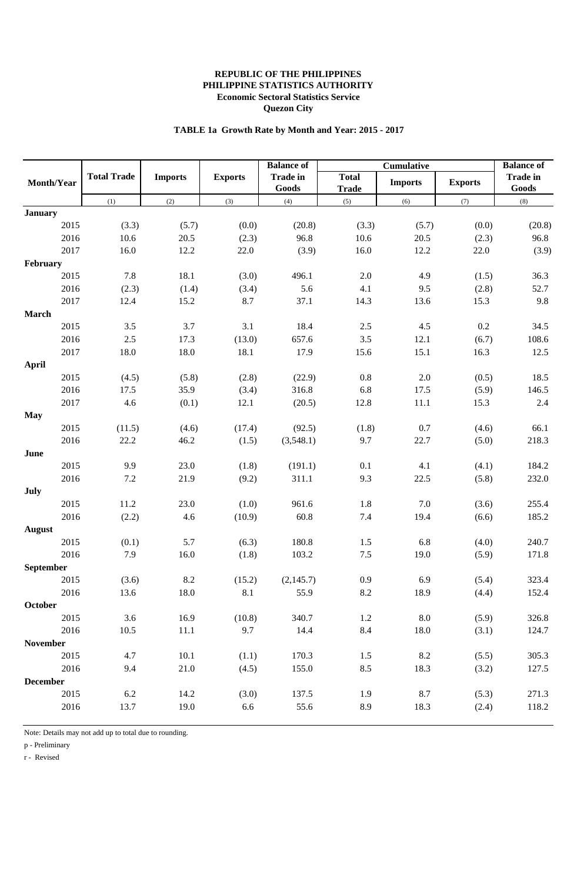# **TABLE 1a Growth Rate by Month and Year: 2015 - 2017**

|                  |                    |                | <b>Balance of</b><br>Cumulative |                          | <b>Balance of</b>            |                |                |                          |
|------------------|--------------------|----------------|---------------------------------|--------------------------|------------------------------|----------------|----------------|--------------------------|
| Month/Year       | <b>Total Trade</b> | <b>Imports</b> | <b>Exports</b>                  | <b>Trade in</b><br>Goods | <b>Total</b><br><b>Trade</b> | <b>Imports</b> | <b>Exports</b> | <b>Trade in</b><br>Goods |
|                  | (1)                | (2)            | (3)                             | (4)                      | (5)                          | (6)            | (7)            | (8)                      |
| <b>January</b>   |                    |                |                                 |                          |                              |                |                |                          |
| 2015             | (3.3)              | (5.7)          | (0.0)                           | (20.8)                   | (3.3)                        | (5.7)          | (0.0)          | (20.8)                   |
| 2016             | 10.6               | 20.5           | (2.3)                           | 96.8                     | 10.6                         | 20.5           | (2.3)          | 96.8                     |
| 2017             | 16.0               | 12.2           | 22.0                            | (3.9)                    | 16.0                         | 12.2           | 22.0           | (3.9)                    |
| February         |                    |                |                                 |                          |                              |                |                |                          |
| 2015             | 7.8                | 18.1           | (3.0)                           | 496.1                    | 2.0                          | 4.9            | (1.5)          | 36.3                     |
| 2016             | (2.3)              | (1.4)          | (3.4)                           | 5.6                      | 4.1                          | 9.5            | (2.8)          | 52.7                     |
| 2017             | 12.4               | 15.2           | 8.7                             | 37.1                     | 14.3                         | 13.6           | 15.3           | 9.8                      |
| <b>March</b>     |                    |                |                                 |                          |                              |                |                |                          |
| 2015             | $3.5$              | 3.7            | 3.1                             | 18.4                     | 2.5                          | 4.5            | 0.2            | 34.5                     |
| 2016             | 2.5                | 17.3           | (13.0)                          | 657.6                    | 3.5                          | 12.1           | (6.7)          | 108.6                    |
| 2017             | 18.0               | 18.0           | 18.1                            | 17.9                     | 15.6                         | 15.1           | 16.3           | 12.5                     |
| <b>April</b>     |                    |                |                                 |                          |                              |                |                |                          |
| 2015             | (4.5)              | (5.8)          | (2.8)                           | (22.9)                   | $0.8\,$                      | $2.0\,$        | (0.5)          | 18.5                     |
| 2016             | 17.5               | 35.9           | (3.4)                           | 316.8                    | 6.8                          | 17.5           | (5.9)          | 146.5                    |
| 2017             | 4.6                | (0.1)          | 12.1                            | (20.5)                   | 12.8                         | 11.1           | 15.3           | 2.4                      |
| <b>May</b>       |                    |                |                                 |                          |                              |                |                |                          |
| 2015             | (11.5)             | (4.6)          | (17.4)                          | (92.5)                   | (1.8)                        | 0.7            | (4.6)          | 66.1                     |
| 2016             | 22.2               | 46.2           | (1.5)                           | (3,548.1)                | 9.7                          | 22.7           | (5.0)          | 218.3                    |
| June             |                    |                |                                 |                          |                              |                |                |                          |
| 2015             | 9.9                | 23.0           | (1.8)                           | (191.1)                  | 0.1                          | 4.1            | (4.1)          | 184.2                    |
| 2016             | 7.2                | 21.9           | (9.2)                           | 311.1                    | 9.3                          | 22.5           | (5.8)          | 232.0                    |
| July             |                    |                |                                 |                          |                              |                |                |                          |
| 2015             | 11.2               | 23.0           | (1.0)                           | 961.6                    | 1.8                          | 7.0            | (3.6)          | 255.4                    |
| 2016             | (2.2)              | 4.6            | (10.9)                          | 60.8                     | 7.4                          | 19.4           | (6.6)          | 185.2                    |
| <b>August</b>    |                    |                |                                 |                          |                              |                |                |                          |
| 2015             | (0.1)              | 5.7            | (6.3)                           | 180.8                    | 1.5                          | 6.8            | (4.0)          | 240.7                    |
| 2016             | 7.9                | 16.0           | (1.8)                           | 103.2                    | $7.5\,$                      | 19.0           | (5.9)          | 171.8                    |
| <b>September</b> |                    |                |                                 |                          |                              |                |                |                          |
| 2015             | (3.6)              | 8.2            | (15.2)                          | (2,145.7)                | 0.9                          | 6.9            | (5.4)          | 323.4                    |
| 2016             | 13.6               | 18.0           | 8.1                             | 55.9                     | 8.2                          | 18.9           | (4.4)          | 152.4                    |
| October          |                    |                |                                 |                          |                              |                |                |                          |
| 2015             | 3.6                | 16.9           | (10.8)                          | 340.7                    | 1.2                          | $\ \ 8.0$      | (5.9)          | 326.8                    |
| 2016             | 10.5               | 11.1           | 9.7                             | 14.4                     | 8.4                          | 18.0           | (3.1)          | 124.7                    |
| <b>November</b>  |                    |                |                                 |                          |                              |                |                |                          |
| 2015             | 4.7                | 10.1           | (1.1)                           | 170.3                    | 1.5                          | 8.2            | (5.5)          | 305.3                    |
| 2016             | 9.4                | 21.0           | (4.5)                           | 155.0                    | 8.5                          | 18.3           | (3.2)          | 127.5                    |
| <b>December</b>  |                    |                |                                 |                          |                              |                |                |                          |
| 2015             | 6.2                | 14.2           | (3.0)                           | 137.5                    | 1.9                          | 8.7            | (5.3)          | 271.3                    |
| 2016             | 13.7               | 19.0           | 6.6                             | 55.6                     | 8.9                          | 18.3           | (2.4)          | 118.2                    |
|                  |                    |                |                                 |                          |                              |                |                |                          |

Note: Details may not add up to total due to rounding.

p - Preliminary

r - Revised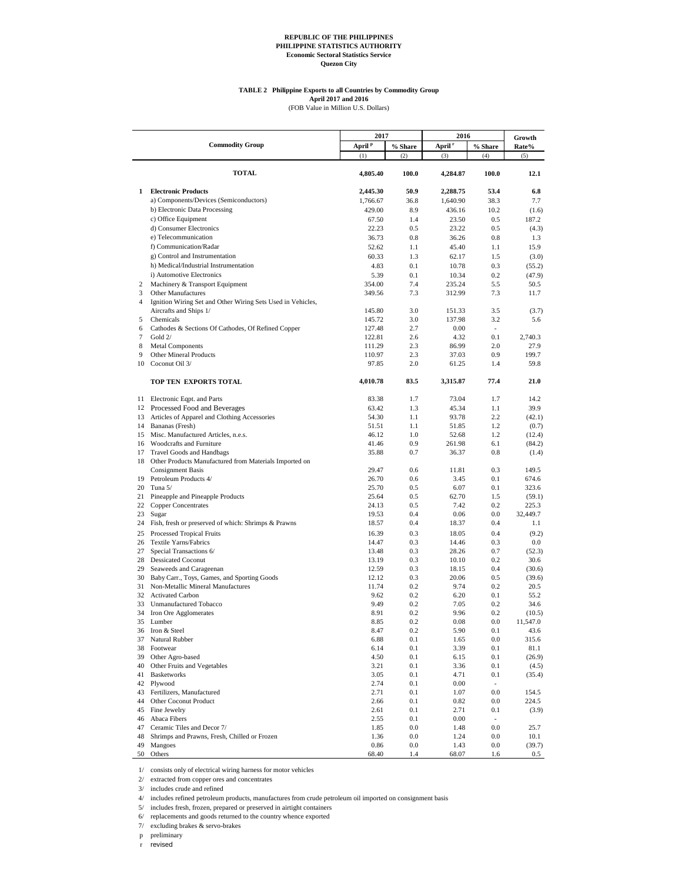## **TABLE 2 Philippine Exports to all Countries by Commodity Group** April 2017 and 2016<br>(FOB Value in Million U.S. Dollars)

|          |                                                                                 | 2017               |            | 2016               |                          |                 |
|----------|---------------------------------------------------------------------------------|--------------------|------------|--------------------|--------------------------|-----------------|
|          | <b>Commodity Group</b>                                                          | April <sup>P</sup> | % Share    | April <sup>r</sup> | % Share                  | Growth<br>Rate% |
|          |                                                                                 | (1)                | (2)        | (3)                | (4)                      | (5)             |
|          | <b>TOTAL</b>                                                                    | 4,805.40           | 100.0      | 4,284.87           | 100.0                    | 12.1            |
| 1        | <b>Electronic Products</b>                                                      | 2,445.30           | 50.9       | 2,288.75           | 53.4                     | 6.8             |
|          | a) Components/Devices (Semiconductors)                                          | 1,766.67           | 36.8       | 1,640.90           | 38.3                     | 7.7             |
|          | b) Electronic Data Processing                                                   | 429.00             | 8.9        | 436.16             | 10.2                     | (1.6)           |
|          | c) Office Equipment                                                             | 67.50              | 1.4        | 23.50              | 0.5                      | 187.2           |
|          | d) Consumer Electronics                                                         | 22.23              | 0.5        | 23.22              | 0.5                      | (4.3)           |
|          | e) Telecommunication                                                            | 36.73              | 0.8        | 36.26              | 0.8                      | 1.3             |
|          | f) Communication/Radar                                                          | 52.62              | 1.1        | 45.40              | 1.1                      | 15.9            |
|          | g) Control and Instrumentation<br>h) Medical/Industrial Instrumentation         | 60.33<br>4.83      | 1.3<br>0.1 | 62.17<br>10.78     | 1.5<br>0.3               | (3.0)<br>(55.2) |
|          | i) Automotive Electronics                                                       | 5.39               | 0.1        | 10.34              | 0.2                      | (47.9)          |
| 2        | Machinery & Transport Equipment                                                 | 354.00             | 7.4        | 235.24             | 5.5                      | 50.5            |
| 3        | <b>Other Manufactures</b>                                                       | 349.56             | 7.3        | 312.99             | 7.3                      | 11.7            |
| 4        | Ignition Wiring Set and Other Wiring Sets Used in Vehicles,                     |                    |            |                    |                          |                 |
|          | Aircrafts and Ships 1/                                                          | 145.80             | 3.0        | 151.33             | 3.5                      | (3.7)           |
| 5        | Chemicals                                                                       | 145.72             | 3.0        | 137.98             | 3.2                      | 5.6             |
| 6        | Cathodes & Sections Of Cathodes, Of Refined Copper                              | 127.48             | 2.7        | 0.00               | $\overline{\phantom{a}}$ |                 |
| 7<br>8   | Gold 2/<br><b>Metal Components</b>                                              | 122.81<br>111.29   | 2.6<br>2.3 | 4.32<br>86.99      | 0.1<br>2.0               | 2,740.3<br>27.9 |
| 9        | <b>Other Mineral Products</b>                                                   | 110.97             | 2.3        | 37.03              | 0.9                      | 199.7           |
| 10       | Coconut Oil 3/                                                                  | 97.85              | 2.0        | 61.25              | 1.4                      | 59.8            |
|          | TOP TEN EXPORTS TOTAL                                                           | 4,010.78           | 83.5       | 3,315.87           | 77.4                     | 21.0            |
|          |                                                                                 |                    |            |                    |                          |                 |
|          | 11 Electronic Eqpt. and Parts                                                   | 83.38              | 1.7<br>1.3 | 73.04<br>45.34     | 1.7<br>1.1               | 14.2<br>39.9    |
| 13       | 12 Processed Food and Beverages<br>Articles of Apparel and Clothing Accessories | 63.42<br>54.30     | 1.1        | 93.78              | 2.2                      | (42.1)          |
|          | 14 Bananas (Fresh)                                                              | 51.51              | 1.1        | 51.85              | 1.2                      | (0.7)           |
| 15       | Misc. Manufactured Articles, n.e.s.                                             | 46.12              | 1.0        | 52.68              | 1.2                      | (12.4)          |
|          | 16 Woodcrafts and Furniture                                                     | 41.46              | 0.9        | 261.98             | 6.1                      | (84.2)          |
| 17       | Travel Goods and Handbags                                                       | 35.88              | 0.7        | 36.37              | 0.8                      | (1.4)           |
|          | 18 Other Products Manufactured from Materials Imported on                       |                    |            |                    |                          |                 |
|          | <b>Consignment Basis</b>                                                        | 29.47              | 0.6        | 11.81              | 0.3                      | 149.5           |
| 19<br>20 | Petroleum Products 4/<br>Tuna 5/                                                | 26.70<br>25.70     | 0.6<br>0.5 | 3.45<br>6.07       | 0.1<br>0.1               | 674.6<br>323.6  |
| 21       | Pineapple and Pineapple Products                                                | 25.64              | 0.5        | 62.70              | 1.5                      | (59.1)          |
| 22       | <b>Copper Concentrates</b>                                                      | 24.13              | 0.5        | 7.42               | 0.2                      | 225.3           |
| 23       | Sugar                                                                           | 19.53              | 0.4        | 0.06               | 0.0                      | 32,449.7        |
| 24       | Fish, fresh or preserved of which: Shrimps & Prawns                             | 18.57              | 0.4        | 18.37              | 0.4                      | 1.1             |
| 25       | Processed Tropical Fruits                                                       | 16.39              | 0.3        | 18.05              | 0.4                      | (9.2)           |
| 26       | Textile Yarns/Fabrics                                                           | 14.47              | 0.3        | 14.46              | 0.3                      | 0.0             |
| 27       | Special Transactions 6/                                                         | 13.48              | 0.3        | 28.26              | 0.7                      | (52.3)          |
| 28<br>29 | <b>Dessicated Coconut</b><br>Seaweeds and Carageenan                            | 13.19<br>12.59     | 0.3<br>0.3 | 10.10<br>18.15     | 0.2<br>0.4               | 30.6<br>(30.6)  |
| 30       | Baby Carr., Toys, Games, and Sporting Goods                                     | 12.12              | 0.3        | 20.06              | 0.5                      | (39.6)          |
| 31       | Non-Metallic Mineral Manufactures                                               | 11.74              | 0.2        | 9.74               | 0.2                      | 20.5            |
| 32       | <b>Activated Carbon</b>                                                         | 9.62               | 0.2        | 6.20               | 0.1                      | 55.2            |
| 33       | Unmanufactured Tobacco                                                          | 9.49               | 0.2        | 7.05               | 0.2                      | 34.6            |
| 34       | Iron Ore Agglomerates                                                           | 8.91               | 0.2        | 9.96               | 0.2                      | (10.5)          |
|          | 35 Lumber                                                                       | 8.85               | 0.2        | 0.08               | 0.0                      | 11,547.0        |
| 36<br>37 | Iron & Steel<br>Natural Rubber                                                  | 8.47<br>6.88       | 0.2<br>0.1 | 5.90<br>1.65       | 0.1<br>$0.0\,$           | 43.6<br>315.6   |
| 38       | Footwear                                                                        | 6.14               | 0.1        | 3.39               | 0.1                      | 81.1            |
| 39       | Other Agro-based                                                                | 4.50               | 0.1        | 6.15               | 0.1                      | (26.9)          |
| 40       | Other Fruits and Vegetables                                                     | 3.21               | 0.1        | 3.36               | 0.1                      | (4.5)           |
| 41       | <b>Basketworks</b>                                                              | 3.05               | 0.1        | 4.71               | 0.1                      | (35.4)          |
|          | 42 Plywood                                                                      | 2.74               | 0.1        | 0.00               | $\overline{\phantom{a}}$ |                 |
| 43       | Fertilizers, Manufactured                                                       | 2.71               | 0.1        | 1.07               | 0.0                      | 154.5           |
| 44       | Other Coconut Product                                                           | 2.66               | 0.1        | 0.82               | 0.0                      | 224.5           |
| 45<br>46 | Fine Jewelry<br>Abaca Fibers                                                    | 2.61<br>2.55       | 0.1<br>0.1 | 2.71<br>0.00       | 0.1<br>$\sim$            | (3.9)           |
| 47       | Ceramic Tiles and Decor 7/                                                      | 1.85               | $0.0\,$    | 1.48               | $0.0\,$                  | 25.7            |
| 48       | Shrimps and Prawns, Fresh, Chilled or Frozen                                    | 1.36               | 0.0        | 1.24               | 0.0                      | 10.1            |
| 49       | Mangoes                                                                         | 0.86               | 0.0        | 1.43               | 0.0                      | (39.7)          |
| 50       | Others                                                                          | 68.40              | 1.4        | 68.07              | 1.6                      | $0.5\,$         |

1/ consists only of electrical wiring harness for motor vehicles

2/ extracted from copper ores and concentrates

3/ includes crude and refined

4/ includes refined petroleum products, manufactures from crude petroleum oil imported on consignment basis

5/ includes fresh, frozen, prepared or preserved in airtight containers

6/ replacements and goods returned to the country whence exported

7/ excluding brakes & servo-brakes

p preliminary

r revised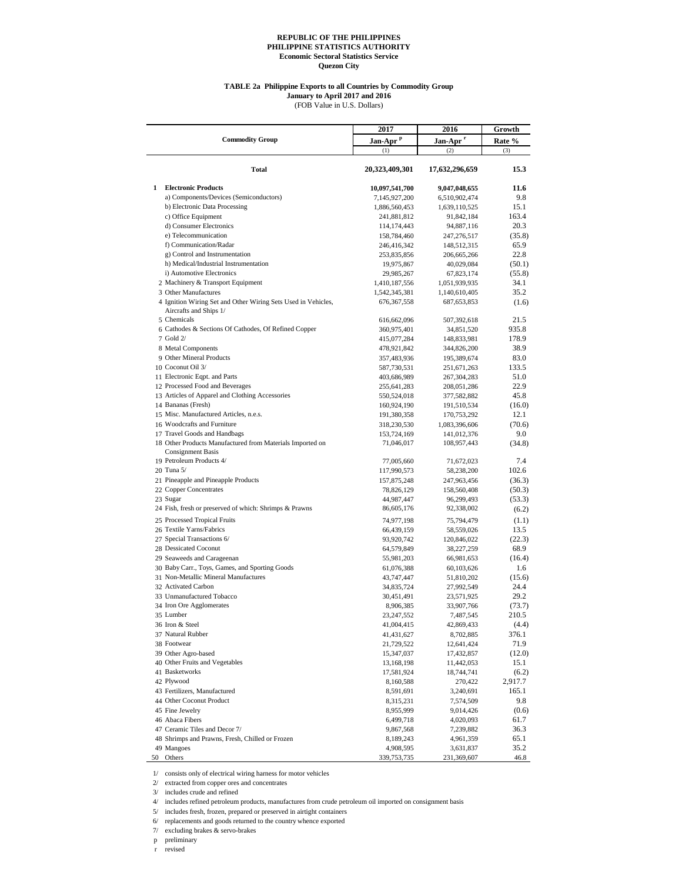#### **TABLE 2a Philippine Exports to all Countries by Commodity Group**

(FOB Value in U.S. Dollars) **January to April 2017 and 2016**

**2017 2016 Growth Jan-Apr <sup>p</sup> Jan-Apr <sup>r</sup> Rate %** (1)  $(2)$   $(3)$ **Total 20,323,409,301 17,632,296,659 15.3 1 Electronic Products 10,097,541,700 9,047,048,655 11.6 a**) **Components/Devices (Semiconductors) 11.6 11.6 11.6 11.6 11.6 11.6 11.6 11.6 11.6 11.6 11.6 11.6 11.6 11.6 11.6 11.6** a) Components/Devices (Semiconductors) 7,145,927,200 6,510,902,474 9.8 b) Electronic Data Processing 1,886,560,453 1,639,110,525 15.1 c) Office Equipment 241,881,812 91,842,184 163.4<br>d) Consumer Electronics 114,174,443 94,887,116 20.3 d) Consumer Electronics 114,174,443 94,887,116 20.3 e) Telecommunication 158,784,460 247,276,517 (35.8) f) Communication/Radar 246,416,342 148,512,315 65.9 g) Control and Instrumentation 253,835,856 206,665,266 22.8 h) Medical/Industrial Instrumentation 19,975,867 40,029,084 (50.1)<br>
i) Automotive Electronics 29,985,267 67,823,174 (55.8) i) Automotive Electronics<br>
29,985,267 67,823,174<br>
2.91,410,187,556 1,051,939,935<br>
2.91,410,187,556 1,051,939,935 2 Machinery & Transport Equipment 1,410,187,556 1,051,939,935 34.1<br>3 Other Manufactures 1,542,345,381 1,440,610,405 35.2 3 Other Manufactures 1,542,345,381 1,140,610,405 35.2 4 Ignition Wiring Set and Other Wiring Sets Used in Vehicles, Aircrafts and Ships 1/ 676,367,558 687,653,853 (1.6) 5 Chemicals 616,662,096 507,392,618 21.5 6 Cathodes & Sections Of Cathodes, Of Refined Copper 360,975,401 34,851,520 935.8<br>7 Gold 2/ 415,077,284 148,833,981 178.9 7 Gold 2/ 415,077,284 148,833,981 178.9 8 Metal Components 478,921,842 344,826,200 38.9 9 Other Mineral Products 357,483,936 195,389,674 83.0<br>
10 Coconut Oil 3/ 357,589,674 587,730,531 251,671,263 133.5 10 Coconut Oil 3/ 587,730,531 251,671,263 133.5 11 Electronic Eqpt. and Parts 403,686,989 267,304,283 51.0 12 Processed Food and Beverages 255,641,283 208,051,286 22.9 13 Articles of Apparel and Clothing Accessories 550,524,018 377,582,882 45.8 14 Bananas (Fresh) 160,924,190 191,510,534 (16.0)<br>15 Misc. Manufactured Articles, n.e.s. 179,753,292 12.1 15 Misc. Manufactured Articles, n.e.s. 191,380,358 16 Woodcrafts and Furniture 318,230,530 16 Woodcrafts and Furniture 318,230,530 1,083,396,606 (70.6) 17 Travel Goods and Handbags 153,724,169 141,012,376 9.0 18 Other Products Manufactured from Materials Imported on Consignment Basis 71,046,017 108,957,443 (34.8) 19 Petroleum Products 4/ 77,005,660 71,672,023 7.4<br>
20 Tuna 5/ 117,990,573 58,238,200 102.6 20 Tuna 5/ 117,990,573 58,238,200 102.6 21 Pineapple and Pineapple Products 157,875,248 247,963,456 (36.3) 22 Copper Concentrates 78,826,129 158,560,408 (50.3) 23 Sugar (53.3) 44,987,447 96,299,493 (53.3) 24 Fish, fresh or preserved of which: Shrimps & Prawns 86,605,176 92,338,002 (6.2) 25 Processed Tropical Fruits 74,977,198 75,794,479 (1.1) 26 Textile Yarns/Fabrics 66,439,159 58,559,026 13.5 27 Special Transactions 6/ 93,920,742 120,846,022 (22.3) 28 Dessicated Coconut 64,579,849 38,227,259 68.9<br>29 Seaweeds and Carageenan and S5,981,203 66,981,653 (16.4) 29 Seaweeds and Carageenan 55,981,203 66,981,653 (16.4)<br>30 Baby Carr., Toys, Games, and Sporting Goods 61,076,388 60,103,626 1.6 30 Baby Carr., Toys, Games, and Sporting Goods 61,076,388 60,103,626 1.6 31 Non-Metallic Mineral Manufactures 43,747,447 51,810,202 (15.6)<br>32 Activated Carbon 34 Activated Carbon 34 Ass 374 37 992 549 24 A 32 Activated Carbon 34,835,724 27,992,549 24.4 33 Unmanufactured Tobacco 30,451,491 23,571,925 29.2 34 Iron Ore Agglomerates 8,906,385 33,907,766 (73.7)<br>35 Lumber 23.247.552 7.487.545 210.5 35 Lumber 23,247,552 7,487,545 210.5 36 Iron & Steel 41,004,415 42,869,433 (4.4) 37 Natural Rubber 41,431,627 8,702,885 376.1 38 Footwear 21,729,522 12,641,424 71.9 39 Other Agro-based 15,347,037 17,432,857 (12.0)<br>40 Other Fruits and Vegetables 13.168.198 11.442,053 15.1 40 Other Fruits and Vegetables 13,168,198 11,442,053 15.1 41 Basketworks 17,581,924 18,744,741 (6.2) 42 Plywood 8,160,588 270,422 2,917.7 43 Fertilizers, Manufactured 8,591,691 3,240,691 165.1 44 Other Coconut Product 8,315,231 7,574,509 9.8 45 Fine Jewelry 6.6 and the state of the state of the state of the state of the state of the state of the state of the state of the state of the state of the state of the state of the state of the state of the state of the 46 Abaca Fibers 6,499,718 4,020,093 61.7 47 Ceramic Tiles and Decor 7/ 9,867,568 7,239,882 36.3 48 Shrimps and Prawns, Fresh, Chilled or Frozen 8,189,243 4,961,359 65.1 49 Mangoes 3,631,837 35.2 50 Others 339,753,735 231,369,607 46.8 **Commodity Group**

1/ consists only of electrical wiring harness for motor vehicles

2/ extracted from copper ores and concentrates

3/ includes crude and refined

4/ includes refined petroleum products, manufactures from crude petroleum oil imported on consignment basis

5/ includes fresh, frozen, prepared or preserved in airtight containers

6/ replacements and goods returned to the country whence exported

7/ excluding brakes & servo-brakes

p preliminary

revised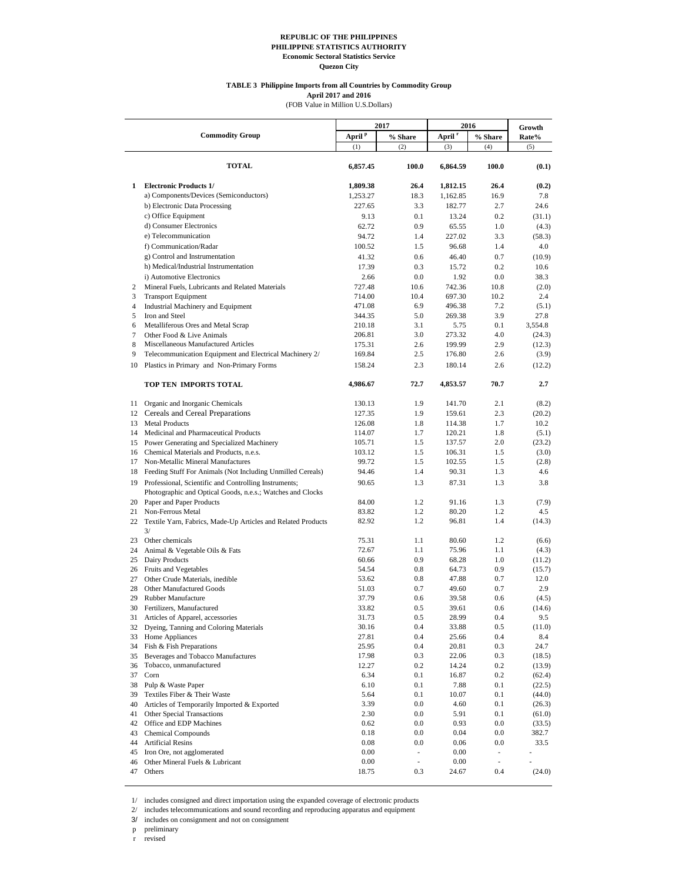#### **TABLE 3 Philippine Imports from all Countries by Commodity Group**

**April 2017 and 2016**

(FOB Value in Million U.S.Dollars)

|                     |                                                                                                                        |                    | 2017        | 2016               |                                     |                 |
|---------------------|------------------------------------------------------------------------------------------------------------------------|--------------------|-------------|--------------------|-------------------------------------|-----------------|
|                     | <b>Commodity Group</b>                                                                                                 | April <sup>p</sup> | % Share     | April <sup>r</sup> | % Share                             | Growth<br>Rate% |
|                     |                                                                                                                        | (1)                | (2)         | (3)                | (4)                                 | (5)             |
|                     | <b>TOTAL</b>                                                                                                           | 6,857.45           | 100.0       | 6,864.59           | 100.0                               | (0.1)           |
| 1                   | <b>Electronic Products 1/</b>                                                                                          | 1,809.38           | 26.4        | 1,812.15           | 26.4                                | (0.2)           |
|                     | a) Components/Devices (Semiconductors)                                                                                 | 1,253.27           | 18.3        | 1,162.85           | 16.9                                | 7.8             |
|                     | b) Electronic Data Processing                                                                                          | 227.65             | 3.3         | 182.77             | 2.7                                 | 24.6            |
|                     | c) Office Equipment                                                                                                    | 9.13               | 0.1         | 13.24              | 0.2                                 | (31.1)          |
|                     | d) Consumer Electronics                                                                                                | 62.72              | 0.9         | 65.55              | 1.0                                 | (4.3)           |
|                     | e) Telecommunication                                                                                                   | 94.72              | 1.4         | 227.02             | 3.3                                 | (58.3)          |
|                     | f) Communication/Radar                                                                                                 | 100.52             | 1.5         | 96.68              | 1.4                                 | 4.0             |
|                     | g) Control and Instrumentation                                                                                         | 41.32              | 0.6         | 46.40              | 0.7                                 | (10.9)          |
|                     | h) Medical/Industrial Instrumentation                                                                                  | 17.39              | 0.3         | 15.72              | 0.2                                 | 10.6            |
|                     | i) Automotive Electronics                                                                                              | 2.66               | 0.0         | 1.92               | 0.0                                 | 38.3            |
| 2                   | Mineral Fuels, Lubricants and Related Materials                                                                        | 727.48             | 10.6        | 742.36             | 10.8                                | (2.0)           |
| 3<br>$\overline{4}$ | <b>Transport Equipment</b>                                                                                             | 714.00             | 10.4<br>6.9 | 697.30<br>496.38   | 10.2<br>7.2                         | 2.4             |
| 5                   | Industrial Machinery and Equipment<br>Iron and Steel                                                                   | 471.08<br>344.35   | 5.0         | 269.38             | 3.9                                 | (5.1)<br>27.8   |
| 6                   | Metalliferous Ores and Metal Scrap                                                                                     | 210.18             | 3.1         | 5.75               | 0.1                                 | 3,554.8         |
| $\tau$              | Other Food & Live Animals                                                                                              | 206.81             | 3.0         | 273.32             | 4.0                                 | (24.3)          |
| 8                   | Miscellaneous Manufactured Articles                                                                                    | 175.31             | 2.6         | 199.99             | 2.9                                 | (12.3)          |
| 9                   | Telecommunication Equipment and Electrical Machinery 2/                                                                | 169.84             | 2.5         | 176.80             | 2.6                                 | (3.9)           |
| 10                  | Plastics in Primary and Non-Primary Forms                                                                              | 158.24             | 2.3         | 180.14             | 2.6                                 | (12.2)          |
|                     | TOP TEN IMPORTS TOTAL                                                                                                  | 4,986.67           | 72.7        | 4,853.57           | 70.7                                | 2.7             |
| 11                  | Organic and Inorganic Chemicals                                                                                        | 130.13             | 1.9         | 141.70             | 2.1                                 | (8.2)           |
|                     | 12 Cereals and Cereal Preparations                                                                                     | 127.35             | 1.9         | 159.61             | 2.3                                 | (20.2)          |
| 13                  | <b>Metal Products</b>                                                                                                  | 126.08             | 1.8         | 114.38             | 1.7                                 | 10.2            |
|                     | 14 Medicinal and Pharmaceutical Products                                                                               | 114.07             | 1.7         | 120.21             | 1.8                                 | (5.1)           |
|                     | 15 Power Generating and Specialized Machinery                                                                          | 105.71             | 1.5         | 137.57             | 2.0                                 | (23.2)          |
| 17                  | 16 Chemical Materials and Products, n.e.s.<br>Non-Metallic Mineral Manufactures                                        | 103.12<br>99.72    | 1.5<br>1.5  | 106.31<br>102.55   | 1.5<br>1.5                          | (3.0)<br>(2.8)  |
| 18                  | Feeding Stuff For Animals (Not Including Unmilled Cereals)                                                             | 94.46              | 1.4         | 90.31              | 1.3                                 | 4.6             |
|                     | 19 Professional, Scientific and Controlling Instruments;<br>Photographic and Optical Goods, n.e.s.; Watches and Clocks | 90.65              | 1.3         | 87.31              | 1.3                                 | 3.8             |
|                     | 20 Paper and Paper Products                                                                                            | 84.00              | 1.2         | 91.16              | 1.3                                 | (7.9)           |
| 21                  | Non-Ferrous Metal                                                                                                      | 83.82              | 1.2         | 80.20              | 1.2                                 | 4.5             |
|                     | 22 Textile Yarn, Fabrics, Made-Up Articles and Related Products<br>3/                                                  | 82.92              | 1.2         | 96.81              | 1.4                                 | (14.3)          |
| 23                  | Other chemicals                                                                                                        | 75.31              | 1.1         | 80.60              | 1.2                                 | (6.6)           |
| 24                  | Animal & Vegetable Oils & Fats                                                                                         | 72.67              | 1.1         | 75.96              | 1.1                                 | (4.3)           |
| 25                  | Dairy Products                                                                                                         | 60.66              | 0.9         | 68.28              | 1.0                                 | (11.2)          |
|                     | 26 Fruits and Vegetables                                                                                               | 54.54              | 0.8         | 64.73              | 0.9                                 | (15.7)          |
| 27                  | Other Crude Materials, inedible                                                                                        | 53.62              | 0.8         | 47.88              | 0.7                                 | 12.0            |
| 28                  | Other Manufactured Goods                                                                                               | 51.03              | 0.7         | 49.60              | 0.7                                 | 2.9             |
| 29                  | Rubber Manufacture                                                                                                     | 37.79              | 0.6         | 39.58              | 0.6                                 | (4.5)           |
|                     | 30 Fertilizers, Manufactured                                                                                           | 33.82              | 0.5         | 39.61              | 0.6                                 | (14.6)          |
| 31<br>32            | Articles of Apparel, accessories<br>Dyeing, Tanning and Coloring Materials                                             | 31.73<br>30.16     | 0.5<br>0.4  | 28.99<br>33.88     | 0.4<br>0.5                          | 9.5<br>(11.0)   |
| 33                  | Home Appliances                                                                                                        | 27.81              | 0.4         | 25.66              | 0.4                                 | 8.4             |
| 34                  | Fish & Fish Preparations                                                                                               | 25.95              | 0.4         | 20.81              | 0.3                                 | 24.7            |
| 35                  | Beverages and Tobacco Manufactures                                                                                     | 17.98              | 0.3         | 22.06              | 0.3                                 | (18.5)          |
| 36                  | Tobacco, unmanufactured                                                                                                | 12.27              | 0.2         | 14.24              | 0.2                                 | (13.9)          |
| 37                  | Corn                                                                                                                   | 6.34               | 0.1         | 16.87              | 0.2                                 | (62.4)          |
| 38                  | Pulp & Waste Paper                                                                                                     | 6.10               | 0.1         | 7.88               | 0.1                                 | (22.5)          |
| 39                  | Textiles Fiber & Their Waste                                                                                           | 5.64               | 0.1         | 10.07              | 0.1                                 | (44.0)          |
| 40                  | Articles of Temporarily Imported & Exported                                                                            | 3.39               | 0.0         | 4.60               | 0.1                                 | (26.3)          |
| 41                  | Other Special Transactions                                                                                             | 2.30               | 0.0         | 5.91               | 0.1                                 | (61.0)          |
| 42                  | Office and EDP Machines                                                                                                | 0.62               | 0.0         | 0.93               | $0.0\,$                             | (33.5)          |
| 43                  | <b>Chemical Compounds</b>                                                                                              | 0.18               | 0.0         | 0.04               | $0.0\,$                             | 382.7           |
| 44<br>45            | <b>Artificial Resins</b><br>Iron Ore, not agglomerated                                                                 | 0.08<br>0.00       | 0.0<br>÷,   | 0.06<br>0.00       | $0.0\,$<br>$\overline{\phantom{a}}$ | 33.5<br>i,      |
| 46                  | Other Mineral Fuels & Lubricant                                                                                        | 0.00               | ä,          | 0.00               | $\overline{\phantom{a}}$            |                 |
|                     | 47 Others                                                                                                              | 18.75              | 0.3         | 24.67              | 0.4                                 | (24.0)          |

1/ includes consigned and direct importation using the expanded coverage of electronic products

2/ includes telecommunications and sound recording and reproducing apparatus and equipment

3/ includes on consignment and not on consignment

p preliminary

r revised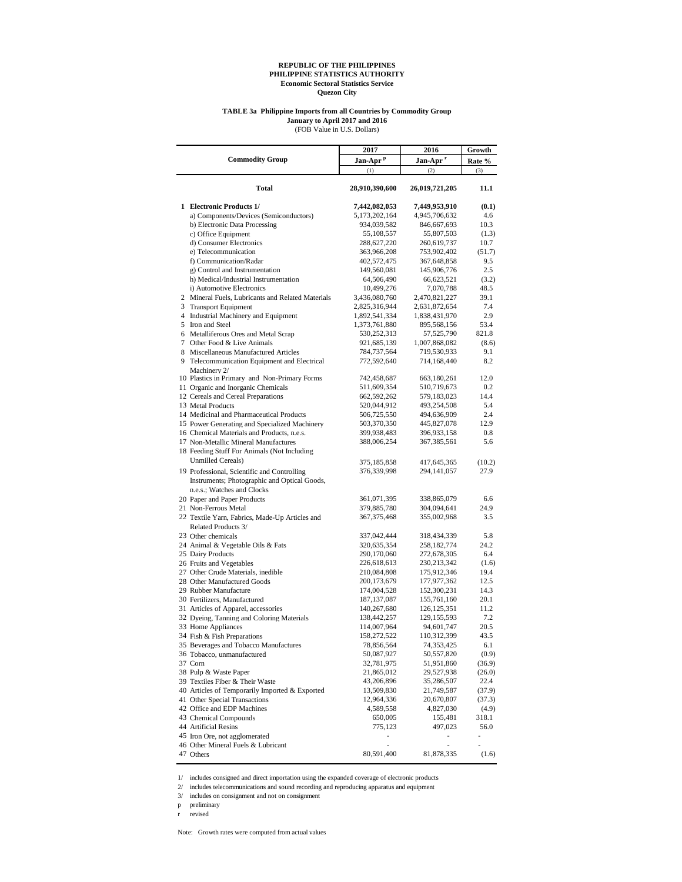#### **TABLE 3a Philippine Imports from all Countries by Commodity Group January to April 2017 and 2016**

(FOB Value in U.S. Dollars)

|                                                                                             | 2017                       | 2016                         | Growth         |
|---------------------------------------------------------------------------------------------|----------------------------|------------------------------|----------------|
| <b>Commodity Group</b>                                                                      | Jan-Apr <sup>p</sup>       | Jan-Apr <sup>r</sup>         | Rate %         |
|                                                                                             | (1)                        | (2)                          | (3)            |
| Total                                                                                       | 28,910,390,600             | 26,019,721,205               | 11.1           |
| 1 Electronic Products 1/                                                                    | 7,442,082,053              | 7,449,953,910                | (0.1)          |
| a) Components/Devices (Semiconductors)                                                      | 5,173,202,164              | 4,945,706,632                | 4.6            |
| b) Electronic Data Processing                                                               | 934,039,582                | 846,667,693                  | 10.3           |
| c) Office Equipment                                                                         | 55,108,557                 | 55,807,503                   | (1.3)          |
| d) Consumer Electronics                                                                     | 288,627,220                | 260,619,737                  | 10.7           |
| e) Telecommunication                                                                        | 363,966,208                | 753,902,402                  | (51.7)         |
| f) Communication/Radar                                                                      | 402,572,475                | 367,648,858                  | 9.5            |
| g) Control and Instrumentation                                                              | 149,560,081                | 145,906,776                  | 2.5            |
| h) Medical/Industrial Instrumentation<br>i) Automotive Electronics                          | 64,506,490<br>10,499,276   | 66,623,521<br>7,070,788      | (3.2)<br>48.5  |
| 2 Mineral Fuels, Lubricants and Related Materials                                           | 3,436,080,760              | 2,470,821,227                | 39.1           |
| 3 Transport Equipment                                                                       | 2,825,316,944              | 2,631,872,654                | 7.4            |
| 4 Industrial Machinery and Equipment                                                        | 1,892,541,334              | 1,838,431,970                | 2.9            |
| 5 Iron and Steel                                                                            | 1,373,761,880              | 895,568,156                  | 53.4           |
| 6 Metalliferous Ores and Metal Scrap                                                        | 530,252,313                | 57,525,790                   | 821.8          |
| 7 Other Food & Live Animals                                                                 | 921,685,139                | 1,007,868,082                | (8.6)          |
| 8 Miscellaneous Manufactured Articles                                                       | 784,737,564                | 719,530,933                  | 9.1            |
| 9 Telecommunication Equipment and Electrical<br>Machinery 2/                                | 772,592,640                | 714,168,440                  | 8.2            |
| 10 Plastics in Primary and Non-Primary Forms                                                | 742,458,687                | 663,180,261                  | 12.0           |
| 11 Organic and Inorganic Chemicals                                                          | 511,609,354                | 510,719,673                  | 0.2            |
| 12 Cereals and Cereal Preparations                                                          | 662,592,262                | 579,183,023                  | 14.4           |
| 13 Metal Products                                                                           | 520,044,912                | 493,254,508                  | 5.4            |
| 14 Medicinal and Pharmaceutical Products                                                    | 506,725,550                | 494,636,909                  | 2.4            |
| 15 Power Generating and Specialized Machinery                                               | 503,370,350                | 445,827,078                  | 12.9           |
| 16 Chemical Materials and Products, n.e.s.                                                  | 399,938,483                | 396,933,158                  | 0.8<br>5.6     |
| 17 Non-Metallic Mineral Manufactures<br>18 Feeding Stuff For Animals (Not Including         | 388,006,254                | 367,385,561                  |                |
| <b>Unmilled Cereals</b> )                                                                   |                            |                              |                |
|                                                                                             | 375,185,858                | 417,645,365                  | (10.2)         |
| 19 Professional, Scientific and Controlling<br>Instruments; Photographic and Optical Goods, | 376,339,998                | 294, 141, 057                | 27.9           |
| n.e.s.; Watches and Clocks                                                                  |                            |                              |                |
| 20 Paper and Paper Products<br>21 Non-Ferrous Metal                                         | 361,071,395<br>379,885,780 | 338,865,079<br>304,094,641   | 6.6<br>24.9    |
| 22 Textile Yarn, Fabrics, Made-Up Articles and                                              | 367, 375, 468              | 355,002,968                  | 3.5            |
| Related Products 3/                                                                         |                            |                              |                |
| 23 Other chemicals                                                                          | 337,042,444                | 318,434,339                  | 5.8            |
| 24 Animal & Vegetable Oils & Fats                                                           | 320,635,354                | 258,182,774                  | 24.2<br>6.4    |
| 25 Dairy Products<br>26 Fruits and Vegetables                                               | 290,170,060<br>226,618,613 | 272,678,305<br>230, 213, 342 | (1.6)          |
| 27 Other Crude Materials, inedible                                                          | 210,084,808                | 175,912,346                  | 19.4           |
| 28 Other Manufactured Goods                                                                 | 200,173,679                | 177,977,362                  | 12.5           |
| 29 Rubber Manufacture                                                                       | 174,004,528                | 152,300,231                  | 14.3           |
| 30 Fertilizers, Manufactured                                                                | 187, 137, 087              | 155,761,160                  | 20.1           |
| 31 Articles of Apparel, accessories                                                         | 140,267,680                | 126, 125, 351                | 11.2           |
| 32 Dyeing, Tanning and Coloring Materials                                                   | 138,442,257                | 129, 155, 593                | 7.2            |
| 33 Home Appliances                                                                          | 114,007,964                | 94,601,747                   | 20.5           |
| 34 Fish & Fish Preparations                                                                 | 158,272,522                | 110,312,399                  | 43.5           |
| 35 Beverages and Tobacco Manufactures                                                       | 78,856,564                 | 74,353,425                   | 6.1            |
| 36 Tobacco, unmanufactured                                                                  | 50,087,927                 | 50,557,820                   | (0.9)          |
| 37 Corn                                                                                     | 32,781,975                 | 51,951,860                   | (36.9)         |
| 38 Pulp & Waste Paper                                                                       | 21,865,012                 | 29,527,938                   | (26.0)         |
| 39 Textiles Fiber & Their Waste                                                             | 43,206,896                 | 35,286,507                   | 22.4           |
| 40 Articles of Temporarily Imported & Exported                                              | 13,509,830                 | 21,749,587                   | (37.9)         |
| 41 Other Special Transactions<br>42 Office and EDP Machines                                 | 12,964,336                 | 20,670,807                   | (37.3)         |
| 43 Chemical Compounds                                                                       | 4,589,558<br>650,005       | 4,827,030<br>155,481         | (4.9)<br>318.1 |
| 44 Artificial Resins                                                                        | 775,123                    | 497,023                      | 56.0           |
| 45 Iron Ore, not agglomerated                                                               |                            |                              |                |
| 46 Other Mineral Fuels & Lubricant                                                          | ä,                         | ä,                           |                |
| 47 Others                                                                                   | 80,591,400                 | 81,878,335                   | (1.6)          |

 $1/\;$  includes consigned and direct importation using the expanded coverage of electronic products

2/ includes telecommunications and sound recording and reproducing apparatus and equipment

3/ includes on consignment and not on consignment

p preliminary

r revised

Note: Growth rates were computed from actual values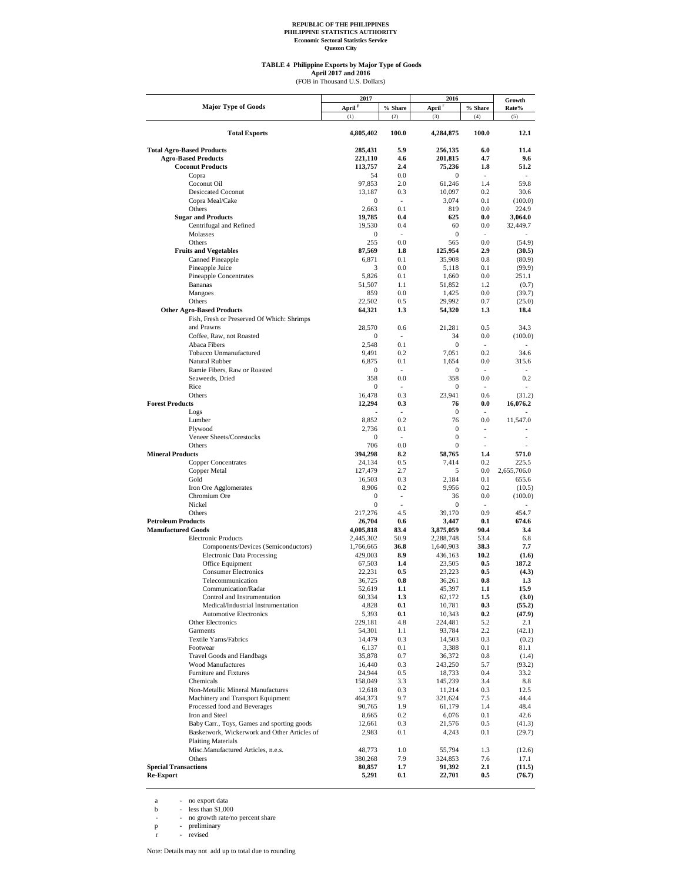#### **TABLE 4 Philippine Exports by Major Type of Goods**

April 2017 and 2016<br>(FOB in Thousand U.S. Dollars)

|                                                       | 2017               |                       | 2016               |                          | Growth            |
|-------------------------------------------------------|--------------------|-----------------------|--------------------|--------------------------|-------------------|
| <b>Major Type of Goods</b>                            | April <sup>p</sup> | % Share               | April <sup>r</sup> | % Share                  | Rate%             |
|                                                       | (1)                | (2)                   | (3)                | (4)                      | (5)               |
| <b>Total Exports</b>                                  | 4,805,402          | 100.0                 | 4,284,875          | 100.0                    | 12.1              |
| <b>Total Agro-Based Products</b>                      | 285,431            | 5.9                   | 256,135            | 6.0                      | 11.4              |
| <b>Agro-Based Products</b>                            | 221,110            | 4.6                   | 201,815            | 4.7                      | 9.6               |
| <b>Coconut Products</b>                               | 113,757            | 2.4                   | 75,236             | 1.8                      | 51.2              |
| Copra                                                 | 54                 | 0.0                   | 0                  | $\overline{\phantom{a}}$ | $\sim$            |
| Coconut Oil                                           | 97,853             | 2.0                   | 61,246             | 1.4                      | 59.8              |
| <b>Desiccated Coconut</b><br>Copra Meal/Cake          | 13,187<br>0        | 0.3<br>$\sim$         | 10,097<br>3,074    | 0.2<br>0.1               | 30.6<br>(100.0)   |
| Others                                                | 2,663              | 0.1                   | 819                | 0.0                      | 224.9             |
| <b>Sugar and Products</b>                             | 19,785             | 0.4                   | 625                | 0.0                      | 3,064.0           |
| Centrifugal and Refined                               | 19,530             | 0.4                   | 60                 | 0.0                      | 32,449.7          |
| Molasses                                              | 0                  | $\sim$                | $\mathbf{0}$       | $\sim$                   |                   |
| Others                                                | 255                | 0.0                   | 565                | 0.0                      | (54.9)            |
| <b>Fruits and Vegetables</b>                          | 87,569             | 1.8                   | 125,954            | 2.9                      | (30.5)            |
| Canned Pineapple                                      | 6,871              | 0.1                   | 35,908             | 0.8                      | (80.9)            |
| Pineapple Juice<br><b>Pineapple Concentrates</b>      | 3<br>5,826         | 0.0<br>0.1            | 5,118<br>1,660     | 0.1<br>0.0               | (99.9)<br>251.1   |
| <b>Bananas</b>                                        | 51,507             | 1.1                   | 51,852             | 1.2                      | (0.7)             |
| Mangoes                                               | 859                | 0.0                   | 1,425              | 0.0                      | (39.7)            |
| Others                                                | 22,502             | 0.5                   | 29,992             | 0.7                      | (25.0)            |
| <b>Other Agro-Based Products</b>                      | 64,321             | 1.3                   | 54,320             | 1.3                      | 18.4              |
| Fish, Fresh or Preserved Of Which: Shrimps            |                    |                       |                    |                          |                   |
| and Prawns                                            | 28,570             | 0.6                   | 21,281             | 0.5                      | 34.3              |
| Coffee, Raw, not Roasted                              | $\boldsymbol{0}$   | $\overline{a}$        | 34                 | 0.0                      | (100.0)           |
| Abaca Fibers                                          | 2,548              | 0.1                   | $\mathbf{0}$       | $\sim$                   | $\sim$            |
| Tobacco Unmanufactured                                | 9,491              | 0.2                   | 7,051              | 0.2                      | 34.6              |
| Natural Rubber                                        | 6,875              | 0.1                   | 1,654              | 0.0                      | 315.6             |
| Ramie Fibers, Raw or Roasted                          | $\boldsymbol{0}$   | $\overline{a}$        | 0                  | $\overline{a}$           |                   |
| Seaweeds, Dried                                       | 358                | 0.0<br>$\overline{a}$ | 358                | 0.0<br>$\overline{a}$    | 0.2               |
| Rice<br>Others                                        | 0<br>16,478        | 0.3                   | 0<br>23.941        | 0.6                      | (31.2)            |
| <b>Forest Products</b>                                | 12,294             | 0.3                   | 76                 | 0.0                      | 16,076.2          |
| Logs                                                  |                    | ٠                     | 0                  | ٠                        |                   |
| Lumber                                                | 8,852              | 0.2                   | 76                 | 0.0                      | 11,547.0          |
| Plywood                                               | 2,736              | 0.1                   | $\boldsymbol{0}$   | ٠                        |                   |
| Veneer Sheets/Corestocks                              | 0                  |                       | 0                  |                          |                   |
| Others                                                | 706                | 0.0                   | $\mathbf{0}$       |                          |                   |
| <b>Mineral Products</b>                               | 394,298            | 8.2                   | 58,765             | 1.4                      | 571.0             |
| <b>Copper Concentrates</b>                            | 24,134             | 0.5                   | 7,414              | 0.2                      | 225.5             |
| Copper Metal                                          | 127,479            | 2.7                   | 5                  | 0.0                      | 2,655,706.0       |
| Gold                                                  | 16,503<br>8,906    | 0.3<br>0.2            | 2,184<br>9,956     | 0.1<br>0.2               | 655.6             |
| Iron Ore Agglomerates<br>Chromium Ore                 | $\mathbf{0}$       | $\overline{a}$        | 36                 | 0.0                      | (10.5)<br>(100.0) |
| Nickel                                                | $\mathbf{0}$       |                       | $\mathbf{0}$       |                          |                   |
| Others                                                | 217,276            | 4.5                   | 39,170             | 0.9                      | 454.7             |
| <b>Petroleum Products</b>                             | 26,704             | 0.6                   | 3.447              | 0.1                      | 674.6             |
| <b>Manufactured Goods</b>                             | 4,005,818          | 83.4                  | 3,875,059          | 90.4                     | 3.4               |
| <b>Electronic Products</b>                            | 2,445,302          | 50.9                  | 2,288,748          | 53.4                     | 6.8               |
| Components/Devices (Semiconductors)                   | 1,766,665          | 36.8                  | 1,640,903          | 38.3                     | 7.7               |
| <b>Electronic Data Processing</b>                     | 429,003            | 8.9                   | 436,163            | 10.2                     | (1.6)             |
| Office Equipment<br><b>Consumer Electronics</b>       | 67,503<br>22,231   | 1.4<br>0.5            | 23,505<br>23,223   | 0.5<br>0.5               | 187.2<br>(4.3)    |
| Telecommunication                                     | 36,725             | 0.8                   | 36,261             | 0.8                      | 1.3               |
| Communication/Radar                                   | 52,619             | 1.1                   | 45,397             | 1.1                      | 15.9              |
| Control and Instrumentation                           | 60,334             | 1.3                   | 62,172             | 1.5                      | (3.0)             |
| Medical/Industrial Instrumentation                    | 4,828              | 0.1                   | 10,781             | 0.3                      | (55.2)            |
| <b>Automotive Electronics</b>                         | 5,393              | 0.1                   | 10,343             | 0.2                      | (47.9)            |
| Other Electronics                                     | 229,181            | 4.8                   | 224,481            | 5.2                      | 2.1               |
| Garments                                              | 54,301             | $1.1\,$               | 93,784             | $2.2\,$                  | (42.1)            |
| Textile Yarns/Fabrics                                 | 14,479             | 0.3                   | 14,503             | 0.3                      | (0.2)             |
| Footwear                                              | 6,137              | 0.1                   | 3,388              | 0.1                      | 81.1              |
| Travel Goods and Handbags<br><b>Wood Manufactures</b> | 35,878             | 0.7                   | 36,372             | 0.8                      | (1.4)             |
| Furniture and Fixtures                                | 16,440<br>24,944   | 0.3<br>0.5            | 243,250<br>18,733  | 5.7<br>0.4               | (93.2)<br>33.2    |
| Chemicals                                             | 158,049            | 3.3                   | 145,239            | 3.4                      | 8.8               |
| Non-Metallic Mineral Manufactures                     | 12,618             | 0.3                   | 11,214             | 0.3                      | 12.5              |
| Machinery and Transport Equipment                     | 464,373            | 9.7                   | 321,624            | 7.5                      | 44.4              |
| Processed food and Beverages                          | 90,765             | 1.9                   | 61,179             | 1.4                      | 48.4              |
| Iron and Steel                                        | 8,665              | 0.2                   | 6,076              | 0.1                      | 42.6              |
| Baby Carr., Toys, Games and sporting goods            | 12,661             | 0.3                   | 21,576             | 0.5                      | (41.3)            |
| Basketwork, Wickerwork and Other Articles of          | 2,983              | 0.1                   | 4,243              | 0.1                      | (29.7)            |
| <b>Plaiting Materials</b>                             |                    |                       |                    |                          |                   |
| Misc.Manufactured Articles, n.e.s.                    | 48,773             | 1.0                   | 55,794             | 1.3                      | (12.6)            |
| Others                                                | 380,268            | 7.9                   | 324,853            | 7.6                      | 17.1              |
| <b>Special Transactions</b>                           | 80,857             | 1.7                   | 91,392             | 2.1                      | (11.5)            |
| <b>Re-Export</b>                                      | 5,291              | 0.1                   | 22,701             | $0.5\,$                  | (76.7)            |

a - no export data<br>
b - less than \$1,000<br>
- no growth rate/no percent share<br>
p - preliminary<br>
r - revised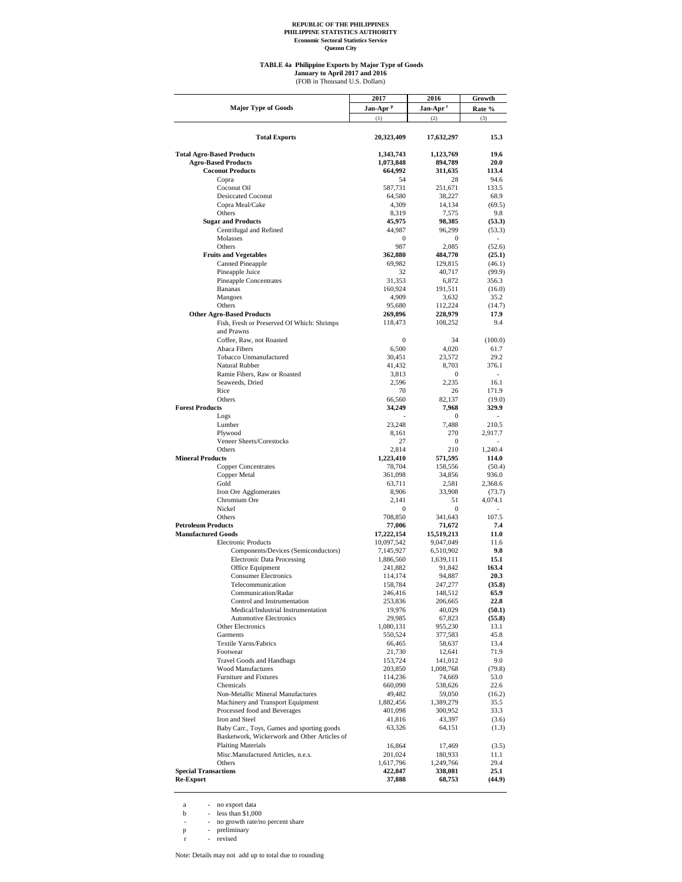#### **TABLE 4a Philippine Exports by Major Type of Goods**

(FOB in Thousand U.S. Dollars) **January to April 2017 and 2016**

|                                                          | 2017                 | 2016                 | Growth           |
|----------------------------------------------------------|----------------------|----------------------|------------------|
| <b>Major Type of Goods</b>                               | Jan-Apr <sup>p</sup> | Jan-Apr <sup>r</sup> | Rate %           |
|                                                          | (1)                  | (2)                  | (3)              |
|                                                          |                      |                      |                  |
| <b>Total Exports</b>                                     | 20,323,409           | 17,632,297           | 15.3             |
|                                                          |                      |                      |                  |
| <b>Total Agro-Based Products</b>                         | 1,343,743            | 1,123,769            | 19.6             |
| <b>Agro-Based Products</b>                               | 1,073,848            | 894,789              | 20.0             |
| <b>Coconut Products</b>                                  | 664,992              | 311,635              | 113.4            |
| Copra                                                    | 54                   | 28                   | 94.6             |
| Coconut Oil                                              | 587,731              | 251,671              | 133.5            |
| <b>Desiccated Coconut</b><br>Copra Meal/Cake             | 64,580               | 38,227               | 68.9             |
| Others                                                   | 4,309<br>8,319       | 14,134<br>7,575      | (69.5)<br>9.8    |
| <b>Sugar and Products</b>                                | 45,975               | 98,385               | (53.3)           |
| Centrifugal and Refined                                  | 44,987               | 96,299               | (53.3)           |
| Molasses                                                 | 0                    | 0                    |                  |
| Others                                                   | 987                  | 2,085                | (52.6)           |
| <b>Fruits and Vegetables</b>                             | 362,880              | 484,770              | (25.1)           |
| Canned Pineapple                                         | 69,982               | 129,815              | (46.1)           |
| Pineapple Juice                                          | 32                   | 40,717               | (99.9)           |
| <b>Pineapple Concentrates</b>                            | 31,353               | 6,872                | 356.3            |
| <b>Bananas</b>                                           | 160,924              | 191,511              | (16.0)           |
| Mangoes                                                  | 4,909                | 3,632                | 35.2             |
| Others                                                   | 95,680               | 112,224              | (14.7)           |
| <b>Other Agro-Based Products</b>                         | 269,896<br>118,473   | 228,979<br>108,252   | 17.9<br>9.4      |
| Fish, Fresh or Preserved Of Which: Shrimps<br>and Prawns |                      |                      |                  |
| Coffee, Raw, not Roasted                                 | 0                    | 34                   | (100.0)          |
| Abaca Fibers                                             | 6,500                | 4,020                | 61.7             |
| Tobacco Unmanufactured                                   | 30,451               | 23,572               | 29.2             |
| Natural Rubber                                           | 41,432               | 8,703                | 376.1            |
| Ramie Fibers, Raw or Roasted                             | 3,813                | 0                    |                  |
| Seaweeds, Dried                                          | 2,596                | 2,235                | 16.1             |
| Rice                                                     | 70                   | 26                   | 171.9            |
| Others                                                   | 66,560               | 82,137               | (19.0)           |
| <b>Forest Products</b>                                   | 34,249               | 7,968                | 329.9            |
| Logs                                                     |                      | $\mathbf{0}$         | $\overline{a}$   |
| Lumber                                                   | 23,248               | 7,488                | 210.5            |
| Plywood                                                  | 8,161                | 270                  | 2,917.7          |
| Veneer Sheets/Corestocks<br>Others                       | 27                   | 0<br>210             |                  |
| <b>Mineral Products</b>                                  | 2,814<br>1,223,410   | 571,595              | 1,240.4<br>114.0 |
| <b>Copper Concentrates</b>                               | 78,704               | 158,556              | (50.4)           |
| Copper Metal                                             | 361,098              | 34,856               | 936.0            |
| Gold                                                     | 63,711               | 2,581                | 2,368.6          |
| Iron Ore Agglomerates                                    | 8,906                | 33,908               | (73.7)           |
| Chromium Ore                                             | 2,141                | 51                   | 4,074.1          |
| Nickel                                                   | 0                    | 0                    |                  |
| Others                                                   | 708,850              | 341,643              | 107.5            |
| <b>Petroleum Products</b>                                | 77,006               | 71,672               | 7.4              |
| <b>Manufactured Goods</b>                                | 17,222,154           | 15,519,213           | 11.0             |
| <b>Electronic Products</b>                               | 10,097,542           | 9,047,049            | 11.6             |
| Components/Devices (Semiconductors)                      | 7,145,927            | 6,510,902            | 9.8              |
| <b>Electronic Data Processing</b><br>Office Equipment    | 1,886,560<br>241,882 | 1,639,111<br>91,842  | 15.1<br>163.4    |
| <b>Consumer Electronics</b>                              | 114,174              | 94,887               | 20.3             |
| Telecommunication                                        | 158,784              | 247,277              | (35.8)           |
| Communication/Radar                                      | 246,416              | 148,512              | 65.9             |
| Control and Instrumentation                              | 253,836              | 206,665              | 22.8             |
| Medical/Industrial Instrumentation                       | 19,976               | 40,029               | (50.1)           |
| <b>Automotive Electronics</b>                            | 29,985               | 67,823               | (55.8)           |
| Other Electronics                                        | 1,080,131            | 955,230              | 13.1             |
| Garments                                                 | 550,524              | 377,583              | 45.8             |
| Textile Yarns/Fabrics                                    | 66,465               | 58,637               | 13.4             |
| Footwear                                                 | 21,730               | 12,641               | 71.9             |
| <b>Travel Goods and Handbags</b>                         | 153,724              | 141,012              | 9.0              |
| <b>Wood Manufactures</b><br>Furniture and Fixtures       | 203,850<br>114,236   | 1,008,768<br>74,669  | (79.8)<br>53.0   |
| Chemicals                                                | 660,090              | 538,626              | 22.6             |
| Non-Metallic Mineral Manufactures                        | 49,482               | 59,050               | (16.2)           |
| Machinery and Transport Equipment                        | 1,882,456            | 1,389,279            | 35.5             |
| Processed food and Beverages                             | 401,098              | 300,952              | 33.3             |
| Iron and Steel                                           | 41,816               | 43,397               | (3.6)            |
| Baby Carr., Toys, Games and sporting goods               | 63,326               | 64,151               | (1.3)            |
| Basketwork, Wickerwork and Other Articles of             |                      |                      |                  |
| <b>Plaiting Materials</b>                                | 16,864               | 17,469               | (3.5)            |
| Misc.Manufactured Articles, n.e.s.                       | 201,024              | 180,933              | 11.1             |
| Others                                                   | 1,617,796            | 1,249,766            | 29.4             |
| <b>Special Transactions</b>                              | 422,847              | 338,081              | 25.1             |
| <b>Re-Export</b>                                         | 37,888               | 68,753               | (44.9)           |

a - no export data<br>
b - less than \$1,000<br>
- no growth rate/no percent share<br>
p - preliminary<br>
r - revised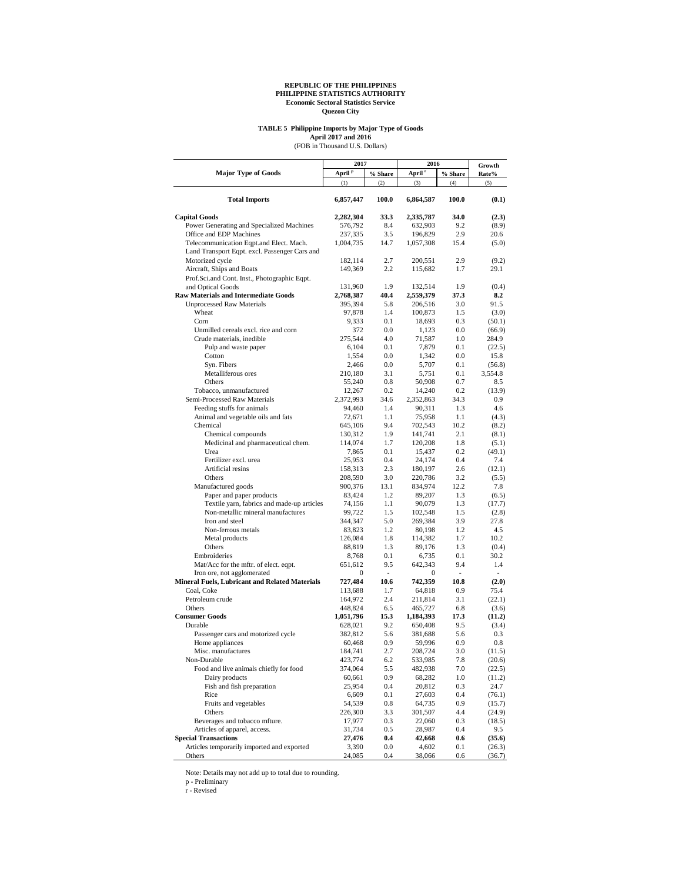## **TABLE 5 Philippine Imports by Major Type of Goods** April 2017 and 2016<br>(FOB in Thousand U.S. Dollars)

|                                                       | 2017               |            | 2016               |                          | Growth           |
|-------------------------------------------------------|--------------------|------------|--------------------|--------------------------|------------------|
| <b>Major Type of Goods</b>                            | April <sup>p</sup> | % Share    | April <sup>r</sup> | % Share                  | Rate%            |
|                                                       | (1)                | (2)        | (3)                | (4)                      | (5)              |
| <b>Total Imports</b>                                  | 6,857,447          | 100.0      | 6,864,587          | 100.0                    | (0.1)            |
| <b>Capital Goods</b>                                  | 2,282,304          | 33.3       | 2,335,787          | 34.0                     | (2.3)            |
| Power Generating and Specialized Machines             | 576,792            | 8.4        | 632,903            | 9.2                      | (8.9)            |
| Office and EDP Machines                               | 237,335            | 3.5        | 196,829            | 2.9                      | 20.6             |
| Telecommunication Eqpt.and Elect. Mach.               | 1,004,735          | 14.7       | 1,057,308          | 15.4                     | (5.0)            |
| Land Transport Eqpt. excl. Passenger Cars and         |                    |            |                    |                          |                  |
| Motorized cycle                                       | 182,114            | 2.7        | 200,551            | 2.9                      | (9.2)            |
| Aircraft, Ships and Boats                             | 149,369            | 2.2        | 115,682            | 1.7                      | 29.1             |
| Prof.Sci.and Cont. Inst., Photographic Eqpt.          |                    |            |                    |                          |                  |
| and Optical Goods                                     | 131,960            | 1.9        | 132,514            | 1.9                      | (0.4)            |
| <b>Raw Materials and Intermediate Goods</b>           | 2,768,387          | 40.4       | 2,559,379          | 37.3                     | 8.2              |
| <b>Unprocessed Raw Materials</b>                      | 395,394            | 5.8        | 206,516            | 3.0                      | 91.5             |
| Wheat<br>Corn                                         | 97,878             | 1.4        | 100,873            | 1.5                      | (3.0)            |
| Unmilled cereals excl. rice and corn                  | 9,333<br>372       | 0.1<br>0.0 | 18,693<br>1,123    | 0.3<br>0.0               | (50.1)           |
| Crude materials, inedible                             | 275,544            | 4.0        | 71,587             | 1.0                      | (66.9)<br>284.9  |
| Pulp and waste paper                                  | 6,104              | 0.1        | 7,879              | 0.1                      | (22.5)           |
| Cotton                                                | 1,554              | 0.0        | 1,342              | 0.0                      | 15.8             |
| Syn. Fibers                                           | 2,466              | 0.0        | 5,707              | 0.1                      | (56.8)           |
| Metalliferous ores                                    | 210,180            | 3.1        | 5,751              | 0.1                      | 3,554.8          |
| Others                                                | 55,240             | 0.8        | 50,908             | 0.7                      | 8.5              |
| Tobacco, unmanufactured                               | 12,267             | 0.2        | 14,240             | 0.2                      | (13.9)           |
| Semi-Processed Raw Materials                          | 2,372,993          | 34.6       | 2,352,863          | 34.3                     | 0.9              |
| Feeding stuffs for animals                            | 94,460             | 1.4        | 90,311             | 1.3                      | 4.6              |
| Animal and vegetable oils and fats                    | 72,671             | 1.1        | 75,958             | 1.1                      | (4.3)            |
| Chemical                                              | 645,106            | 9.4        | 702,543            | 10.2                     | (8.2)            |
| Chemical compounds                                    | 130,312            | 1.9        | 141,741            | 2.1                      | (8.1)            |
| Medicinal and pharmaceutical chem.                    | 114,074            | 1.7        | 120,208            | 1.8                      | (5.1)            |
| Urea                                                  | 7,865              | 0.1        | 15,437             | 0.2                      | (49.1)           |
| Fertilizer excl. urea                                 | 25,953             | 0.4        | 24,174             | 0.4                      | 7.4              |
| Artificial resins                                     | 158,313            | 2.3        | 180,197            | 2.6                      | (12.1)           |
| Others                                                | 208,590            | 3.0        | 220,786            | 3.2                      | (5.5)            |
| Manufactured goods                                    | 900,376            | 13.1       | 834,974            | 12.2                     | 7.8              |
| Paper and paper products                              | 83,424             | 1.2        | 89,207             | 1.3                      | (6.5)            |
| Textile yarn, fabrics and made-up articles            | 74,156             | 1.1<br>1.5 | 90,079             | 1.3<br>1.5               | (17.7)           |
| Non-metallic mineral manufactures<br>Iron and steel   | 99,722<br>344,347  | 5.0        | 102,548<br>269,384 | 3.9                      | (2.8)<br>27.8    |
| Non-ferrous metals                                    | 83,823             | 1.2        | 80,198             | 1.2                      | 4.5              |
| Metal products                                        | 126,084            | 1.8        | 114,382            | 1.7                      | 10.2             |
| Others                                                | 88,819             | 1.3        | 89,176             | 1.3                      | (0.4)            |
| Embroideries                                          | 8,768              | 0.1        | 6,735              | 0.1                      | 30.2             |
| Mat/Acc for the mftr. of elect. eqpt.                 | 651,612            | 9.5        | 642,343            | 9.4                      | 1.4              |
| Iron ore, not agglomerated                            | 0                  | ٠          | 0                  | $\overline{\phantom{a}}$ | ٠                |
| <b>Mineral Fuels, Lubricant and Related Materials</b> | 727,484            | 10.6       | 742,359            | 10.8                     | (2.0)            |
| Coal, Coke                                            | 113,688            | 1.7        | 64,818             | 0.9                      | 75.4             |
| Petroleum crude                                       | 164,972            | 2.4        | 211,814            | 3.1                      | (22.1)           |
| Others                                                | 448,824            | 6.5        | 465,727            | 6.8                      | (3.6)            |
| <b>Consumer Goods</b>                                 | 1,051,796          | 15.3       | 1,184,393          | 17.3                     | (11.2)           |
| Durable                                               | 628,021            | 9.2        | 650,408            | 9.5                      | (3.4)            |
| Passenger cars and motorized cycle                    | 382,812            | 5.6        | 381,688            | 5.6                      | 0.3              |
| Home appliances                                       | 60,468             | 0.9        | 59,996             | 0.9                      | 0.8              |
| Misc. manufactures                                    | 184,741            | 2.7        | 208,724            | 3.0                      | (11.5)           |
| Non-Durable<br>Food and live animals chiefly for food | 423,774            | 6.2        | 533,985            | 7.8                      | (20.6)           |
| Dairy products                                        | 374,064<br>60,661  | 5.5<br>0.9 | 482,938<br>68,282  | 7.0<br>1.0               | (22.5)<br>(11.2) |
| Fish and fish preparation                             | 25,954             | 0.4        | 20,812             | 0.3                      | 24.7             |
| Rice                                                  | 6,609              | $0.1\,$    | 27,603             | 0.4                      | (76.1)           |
| Fruits and vegetables                                 | 54,539             | 0.8        | 64,735             | 0.9                      | (15.7)           |
| Others                                                | 226,300            | 3.3        | 301,507            | 4.4                      | (24.9)           |
| Beverages and tobacco mfture.                         | 17,977             | 0.3        | 22,060             | 0.3                      | (18.5)           |
| Articles of apparel, access.                          | 31,734             | 0.5        | 28,987             | 0.4                      | 9.5              |
| <b>Special Transactions</b>                           | 27,476             | 0.4        | 42,668             | $0.6\,$                  | (35.6)           |
| Articles temporarily imported and exported            | 3,390              | 0.0        | 4,602              | 0.1                      | (26.3)           |
| Others                                                | 24,085             | 0.4        | 38,066             | 0.6                      | (36.7)           |

Note: Details may not add up to total due to rounding.

p - Preliminary r - Revised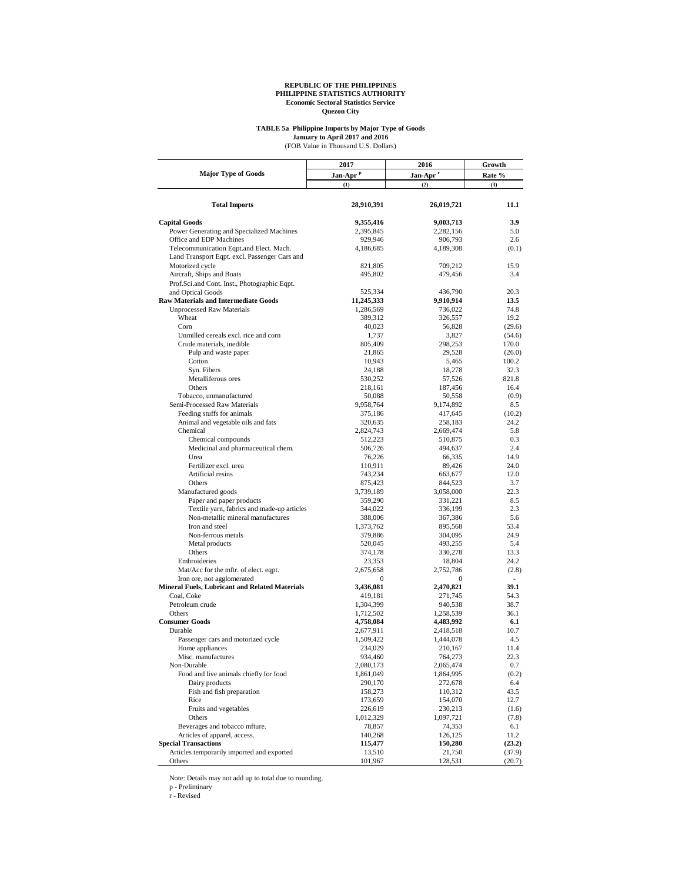## **TABLE 5a Philippine Imports by Major Type of Goods** (FOB Value in Thousand U.S. Dollars) **January to April 2017 and 2016**

|                                                                   | 2017                   | 2016                   | Growth          |  |
|-------------------------------------------------------------------|------------------------|------------------------|-----------------|--|
| <b>Major Type of Goods</b>                                        | Jan-Apr <sup>P</sup>   | Jan-Apr <sup>r</sup>   | Rate %          |  |
|                                                                   | (1)                    | (2)                    | (3)             |  |
| <b>Total Imports</b>                                              | 28,910,391             | 26,019,721             | 11.1            |  |
|                                                                   |                        |                        |                 |  |
| <b>Capital Goods</b><br>Power Generating and Specialized Machines | 9,355,416<br>2,395,845 | 9,003,713<br>2,282,156 | 3.9<br>5.0      |  |
| Office and EDP Machines                                           | 929,946                | 906,793                | 2.6             |  |
| Telecommunication Eqpt.and Elect. Mach.                           | 4,186,685              | 4,189,308              | (0.1)           |  |
| Land Transport Eqpt. excl. Passenger Cars and                     |                        |                        |                 |  |
| Motorized cycle                                                   | 821,805                | 709,212                | 15.9            |  |
| Aircraft, Ships and Boats                                         | 495,802                | 479,456                | 3.4             |  |
| Prof.Sci.and Cont. Inst., Photographic Eqpt.                      |                        |                        |                 |  |
| and Optical Goods                                                 | 525,334                | 436,790                | 20.3            |  |
| <b>Raw Materials and Intermediate Goods</b>                       | 11,245,333             | 9,910,914              | 13.5            |  |
| <b>Unprocessed Raw Materials</b>                                  | 1,286,569              | 736,022                | 74.8            |  |
| Wheat                                                             | 389,312                | 326,557                | 19.2            |  |
| Corn                                                              | 40,023                 | 56,828                 | (29.6)          |  |
| Unmilled cereals excl. rice and corn                              | 1,737                  | 3,827                  | (54.6)          |  |
| Crude materials, inedible                                         | 805,409                | 298,253                | 170.0           |  |
| Pulp and waste paper<br>Cotton                                    | 21,865<br>10,943       | 29,528<br>5,465        | (26.0)<br>100.2 |  |
| Syn. Fibers                                                       | 24,188                 | 18,278                 | 32.3            |  |
| Metalliferous ores                                                | 530,252                | 57,526                 | 821.8           |  |
| Others                                                            | 218,161                | 187,456                | 16.4            |  |
| Tobacco, unmanufactured                                           | 50,088                 | 50,558                 | (0.9)           |  |
| Semi-Processed Raw Materials                                      | 9,958,764              | 9,174,892              | 8.5             |  |
| Feeding stuffs for animals                                        | 375,186                | 417,645                | (10.2)          |  |
| Animal and vegetable oils and fats                                | 320,635                | 258,183                | 24.2            |  |
| Chemical                                                          | 2,824,743              | 2,669,474              | 5.8             |  |
| Chemical compounds                                                | 512,223                | 510,875                | 0.3             |  |
| Medicinal and pharmaceutical chem.                                | 506,726                | 494,637                | 2.4             |  |
| Urea                                                              | 76,226                 | 66,335                 | 14.9            |  |
| Fertilizer excl. urea                                             | 110,911                | 89,426                 | 24.0            |  |
| Artificial resins<br>Others                                       | 743,234                | 663,677                | 12.0            |  |
|                                                                   | 875,423<br>3,739,189   | 844,523<br>3,058,000   | 3.7<br>22.3     |  |
| Manufactured goods<br>Paper and paper products                    | 359,290                | 331,221                | 8.5             |  |
| Textile yarn, fabrics and made-up articles                        | 344,022                | 336,199                | 2.3             |  |
| Non-metallic mineral manufactures                                 | 388,006                | 367,386                | 5.6             |  |
| Iron and steel                                                    | 1,373,762              | 895,568                | 53.4            |  |
| Non-ferrous metals                                                | 379,886                | 304,095                | 24.9            |  |
| Metal products                                                    | 520,045                | 493,255                | 5.4             |  |
| Others                                                            | 374,178                | 330,278                | 13.3            |  |
| Embroideries                                                      | 23,353                 | 18,804                 | 24.2            |  |
| Mat/Acc for the mftr. of elect. eqpt.                             | 2,675,658              | 2,752,786              | (2.8)           |  |
| Iron ore, not agglomerated                                        | $\mathbf{0}$           | $\mathbf{0}$           | ä,              |  |
| <b>Mineral Fuels, Lubricant and Related Materials</b>             | 3,436,081              | 2,470,821              | 39.1            |  |
| Coal, Coke<br>Petroleum crude                                     | 419,181<br>1,304,399   | 271,745                | 54.3<br>38.7    |  |
| Others                                                            | 1,712,502              | 940,538<br>1,258,539   | 36.1            |  |
| <b>Consumer Goods</b>                                             | 4,758,084              | 4,483,992              | 6.1             |  |
| Durable                                                           | 2,677,911              | 2,418,518              | 10.7            |  |
| Passenger cars and motorized cycle                                | 1,509,422              | 1,444,078              | 4.5             |  |
| Home appliances                                                   | 234,029                | 210,167                | 11.4            |  |
| Misc. manufactures                                                | 934,460                | 764,273                | 22.3            |  |
| Non-Durable                                                       | 2,080,173              | 2,065,474              | 0.7             |  |
| Food and live animals chiefly for food                            | 1,861,049              | 1,864,995              | (0.2)           |  |
| Dairy products                                                    | 290,170                | 272,678                | 6.4             |  |
| Fish and fish preparation                                         | 158,273                | 110,312                | 43.5            |  |
| Rice                                                              | 173,659                | 154,070                | 12.7            |  |
| Fruits and vegetables                                             | 226,619                | 230,213                | (1.6)           |  |
| Others<br>Beverages and tobacco mfture.                           | 1,012,329              | 1,097,721<br>74,353    | (7.8)           |  |
| Articles of apparel, access.                                      | 78,857<br>140,268      | 126,125                | 6.1<br>11.2     |  |
| <b>Special Transactions</b>                                       | 115,477                | 150,280                | (23.2)          |  |
| Articles temporarily imported and exported                        | 13,510                 | 21,750                 | (37.9)          |  |
| Others                                                            | 101,967                | 128,531                | (20.7)          |  |

Note: Details may not add up to total due to rounding. p - Preliminary r - Revised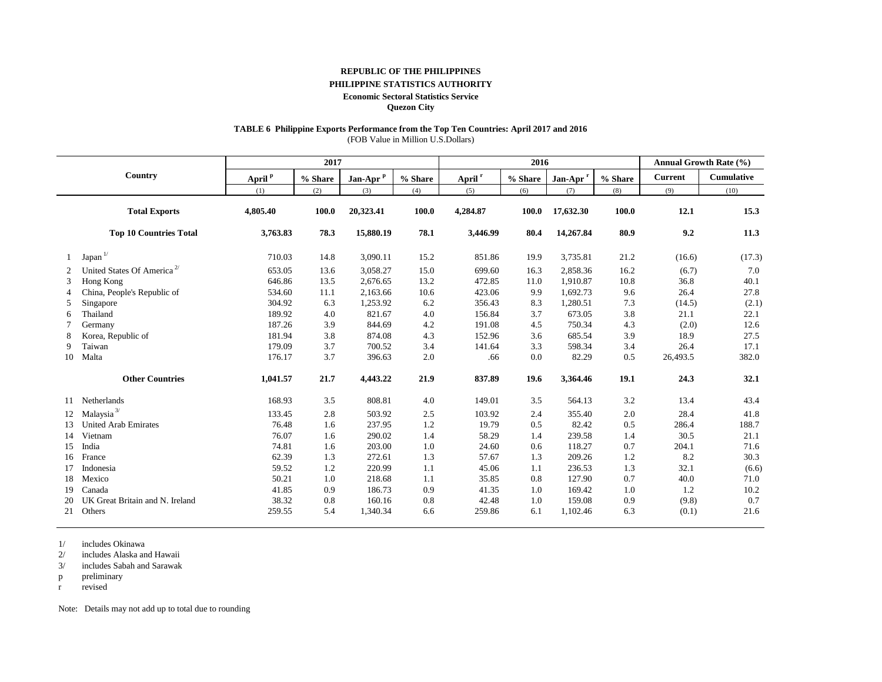#### **REPUBLIC OF THE PHILIPPINES**

### **PHILIPPINE STATISTICS AUTHORITY**

#### **Economic Sectoral Statistics Service**

**Quezon City**

## **TABLE 6 Philippine Exports Performance from the Top Ten Countries: April 2017 and 2016**

(FOB Value in Million U.S.Dollars)

|    |                                        |                    | 2017    |                      |         | 2016               |         |                      |         |                | <b>Annual Growth Rate (%)</b> |
|----|----------------------------------------|--------------------|---------|----------------------|---------|--------------------|---------|----------------------|---------|----------------|-------------------------------|
|    | Country                                | April <sup>p</sup> | % Share | Jan-Apr <sup>p</sup> | % Share | April <sup>r</sup> | % Share | Jan-Apr <sup>r</sup> | % Share | <b>Current</b> | <b>Cumulative</b>             |
|    |                                        | (1)                | (2)     | (3)                  | (4)     | (5)                | (6)     | (7)                  | (8)     | (9)            | (10)                          |
|    | <b>Total Exports</b>                   | 4,805.40           | 100.0   | 20,323.41            | 100.0   | 4,284.87           | 100.0   | 17,632.30            | 100.0   | 12.1           | 15.3                          |
|    | <b>Top 10 Countries Total</b>          | 3,763.83           | 78.3    | 15,880.19            | 78.1    | 3,446.99           | 80.4    | 14,267.84            | 80.9    | 9.2            | 11.3                          |
|    | $Japan$ <sup><math>1/</math></sup>     | 710.03             | 14.8    | 3,090.11             | 15.2    | 851.86             | 19.9    | 3,735.81             | 21.2    | (16.6)         | (17.3)                        |
| 2  | United States Of America <sup>2/</sup> | 653.05             | 13.6    | 3,058.27             | 15.0    | 699.60             | 16.3    | 2,858.36             | 16.2    | (6.7)          | 7.0                           |
| 3  | Hong Kong                              | 646.86             | 13.5    | 2,676.65             | 13.2    | 472.85             | 11.0    | 1,910.87             | 10.8    | 36.8           | 40.1                          |
|    | China, People's Republic of            | 534.60             | 11.1    | 2,163.66             | 10.6    | 423.06             | 9.9     | 1,692.73             | 9.6     | 26.4           | 27.8                          |
| 5  | Singapore                              | 304.92             | 6.3     | 1,253.92             | 6.2     | 356.43             | 8.3     | 1,280.51             | 7.3     | (14.5)         | (2.1)                         |
| 6  | Thailand                               | 189.92             | 4.0     | 821.67               | 4.0     | 156.84             | 3.7     | 673.05               | 3.8     | 21.1           | 22.1                          |
|    | Germany                                | 187.26             | 3.9     | 844.69               | 4.2     | 191.08             | 4.5     | 750.34               | 4.3     | (2.0)          | 12.6                          |
|    | Korea, Republic of                     | 181.94             | 3.8     | 874.08               | 4.3     | 152.96             | 3.6     | 685.54               | 3.9     | 18.9           | 27.5                          |
| 9  | Taiwan                                 | 179.09             | 3.7     | 700.52               | 3.4     | 141.64             | 3.3     | 598.34               | 3.4     | 26.4           | 17.1                          |
| 10 | Malta                                  | 176.17             | 3.7     | 396.63               | 2.0     | .66                | 0.0     | 82.29                | 0.5     | 26,493.5       | 382.0                         |
|    | <b>Other Countries</b>                 | 1,041.57           | 21.7    | 4,443.22             | 21.9    | 837.89             | 19.6    | 3,364.46             | 19.1    | 24.3           | 32.1                          |
| 11 | Netherlands                            | 168.93             | 3.5     | 808.81               | 4.0     | 149.01             | 3.5     | 564.13               | 3.2     | 13.4           | 43.4                          |
|    | Malaysia $^{3\prime}$                  | 133.45             | 2.8     | 503.92               | 2.5     | 103.92             | 2.4     | 355.40               | 2.0     | 28.4           | 41.8                          |
| 13 | <b>United Arab Emirates</b>            | 76.48              | 1.6     | 237.95               | 1.2     | 19.79              | 0.5     | 82.42                | 0.5     | 286.4          | 188.7                         |
| 14 | Vietnam                                | 76.07              | 1.6     | 290.02               | 1.4     | 58.29              | 1.4     | 239.58               | 1.4     | 30.5           | 21.1                          |
| 15 | India                                  | 74.81              | 1.6     | 203.00               | 1.0     | 24.60              | 0.6     | 118.27               | 0.7     | 204.1          | 71.6                          |
| 16 | France                                 | 62.39              | 1.3     | 272.61               | 1.3     | 57.67              | 1.3     | 209.26               | 1.2     | 8.2            | 30.3                          |
|    | Indonesia                              | 59.52              | 1.2     | 220.99               | 1.1     | 45.06              | 1.1     | 236.53               | 1.3     | 32.1           | (6.6)                         |
| 18 | Mexico                                 | 50.21              | 1.0     | 218.68               | 1.1     | 35.85              | 0.8     | 127.90               | 0.7     | 40.0           | 71.0                          |
| 19 | Canada                                 | 41.85              | 0.9     | 186.73               | 0.9     | 41.35              | 1.0     | 169.42               | 1.0     | 1.2            | 10.2                          |
| 20 | UK Great Britain and N. Ireland        | 38.32              | 0.8     | 160.16               | 0.8     | 42.48              | 1.0     | 159.08               | 0.9     | (9.8)          | 0.7                           |
| 21 | Others                                 | 259.55             | 5.4     | 1,340.34             | 6.6     | 259.86             | 6.1     | 1,102.46             | 6.3     | (0.1)          | 21.6                          |

1/ includes Okinawa

2/ includes Alaska and Hawaii

3/ includes Sabah and Sarawak

p preliminary

r revised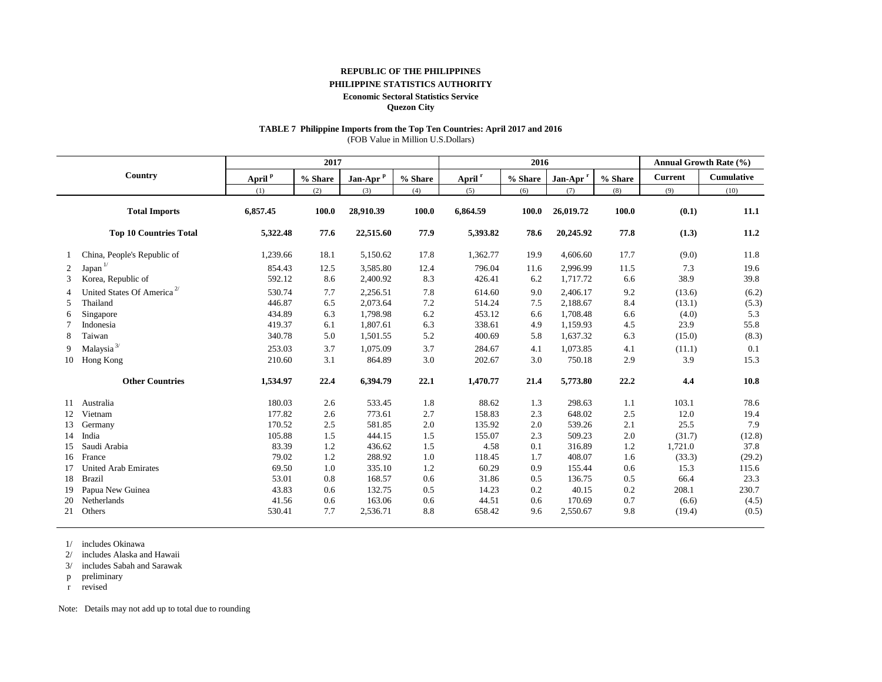#### **REPUBLIC OF THE PHILIPPINES**

## **PHILIPPINE STATISTICS AUTHORITY**

#### **Economic Sectoral Statistics Service**

**Quezon City**

## **TABLE 7 Philippine Imports from the Top Ten Countries: April 2017 and 2016**

(FOB Value in Million U.S.Dollars)

|                |                                        |                    | 2017    |                      |         | 2016               |         |                      |         |                | Annual Growth Rate (%) |
|----------------|----------------------------------------|--------------------|---------|----------------------|---------|--------------------|---------|----------------------|---------|----------------|------------------------|
|                | Country                                | April <sup>p</sup> | % Share | Jan-Apr <sup>p</sup> | % Share | April <sup>r</sup> | % Share | Jan-Apr <sup>r</sup> | % Share | <b>Current</b> | Cumulative             |
|                |                                        | (1)                | (2)     | (3)                  | (4)     | (5)                | (6)     | (7)                  | (8)     | (9)            | (10)                   |
|                | <b>Total Imports</b>                   | 6,857.45           | 100.0   | 28,910.39            | 100.0   | 6,864.59           | 100.0   | 26,019.72            | 100.0   | (0.1)          | 11.1                   |
|                | <b>Top 10 Countries Total</b>          | 5,322.48           | 77.6    | 22,515.60            | 77.9    | 5,393.82           | 78.6    | 20,245.92            | 77.8    | (1.3)          | 11.2                   |
|                | China, People's Republic of            | 1,239.66           | 18.1    | 5,150.62             | 17.8    | 1,362.77           | 19.9    | 4,606.60             | 17.7    | (9.0)          | 11.8                   |
| 2              | Japan                                  | 854.43             | 12.5    | 3,585.80             | 12.4    | 796.04             | 11.6    | 2,996.99             | 11.5    | 7.3            | 19.6                   |
| 3              | Korea, Republic of                     | 592.12             | 8.6     | 2,400.92             | 8.3     | 426.41             | 6.2     | 1,717.72             | 6.6     | 38.9           | 39.8                   |
| $\overline{4}$ | United States Of America <sup>2/</sup> | 530.74             | 7.7     | 2,256.51             | 7.8     | 614.60             | 9.0     | 2,406.17             | 9.2     | (13.6)         | (6.2)                  |
| 5              | Thailand                               | 446.87             | 6.5     | 2,073.64             | 7.2     | 514.24             | 7.5     | 2,188.67             | 8.4     | (13.1)         | (5.3)                  |
| 6              | Singapore                              | 434.89             | 6.3     | 1,798.98             | 6.2     | 453.12             | 6.6     | 1,708.48             | 6.6     | (4.0)          | 5.3                    |
|                | Indonesia                              | 419.37             | 6.1     | 1,807.61             | 6.3     | 338.61             | 4.9     | 1,159.93             | 4.5     | 23.9           | 55.8                   |
| 8              | Taiwan                                 | 340.78             | 5.0     | 1,501.55             | 5.2     | 400.69             | 5.8     | 1,637.32             | 6.3     | (15.0)         | (8.3)                  |
| 9              | Malaysia $^{3\prime}$                  | 253.03             | 3.7     | 1,075.09             | 3.7     | 284.67             | 4.1     | 1,073.85             | 4.1     | (11.1)         | 0.1                    |
| 10             | Hong Kong                              | 210.60             | 3.1     | 864.89               | 3.0     | 202.67             | 3.0     | 750.18               | 2.9     | 3.9            | 15.3                   |
|                | <b>Other Countries</b>                 | 1,534.97           | 22.4    | 6,394.79             | 22.1    | 1,470.77           | 21.4    | 5,773.80             | 22.2    | 4.4            | 10.8                   |
| 11             | Australia                              | 180.03             | 2.6     | 533.45               | 1.8     | 88.62              | 1.3     | 298.63               | 1.1     | 103.1          | 78.6                   |
| 12             | Vietnam                                | 177.82             | 2.6     | 773.61               | 2.7     | 158.83             | 2.3     | 648.02               | 2.5     | 12.0           | 19.4                   |
| 13             | Germany                                | 170.52             | 2.5     | 581.85               | 2.0     | 135.92             | 2.0     | 539.26               | 2.1     | 25.5           | 7.9                    |
| 14             | India                                  | 105.88             | 1.5     | 444.15               | 1.5     | 155.07             | 2.3     | 509.23               | 2.0     | (31.7)         | (12.8)                 |
| 15             | Saudi Arabia                           | 83.39              | 1.2     | 436.62               | 1.5     | 4.58               | 0.1     | 316.89               | 1.2     | 1,721.0        | 37.8                   |
| 16             | France                                 | 79.02              | 1.2     | 288.92               | 1.0     | 118.45             | 1.7     | 408.07               | 1.6     | (33.3)         | (29.2)                 |
| 17             | <b>United Arab Emirates</b>            | 69.50              | 1.0     | 335.10               | 1.2     | 60.29              | 0.9     | 155.44               | 0.6     | 15.3           | 115.6                  |
| 18             | <b>Brazil</b>                          | 53.01              | 0.8     | 168.57               | 0.6     | 31.86              | 0.5     | 136.75               | 0.5     | 66.4           | 23.3                   |
| 19             | Papua New Guinea                       | 43.83              | 0.6     | 132.75               | 0.5     | 14.23              | 0.2     | 40.15                | 0.2     | 208.1          | 230.7                  |
| 20             | Netherlands                            | 41.56              | 0.6     | 163.06               | 0.6     | 44.51              | 0.6     | 170.69               | 0.7     | (6.6)          | (4.5)                  |
| 21             | Others                                 | 530.41             | 7.7     | 2,536.71             | 8.8     | 658.42             | 9.6     | 2,550.67             | 9.8     | (19.4)         | (0.5)                  |

1/ includes Okinawa

2/ includes Alaska and Hawaii

3/ includes Sabah and Sarawak

p preliminary

r revised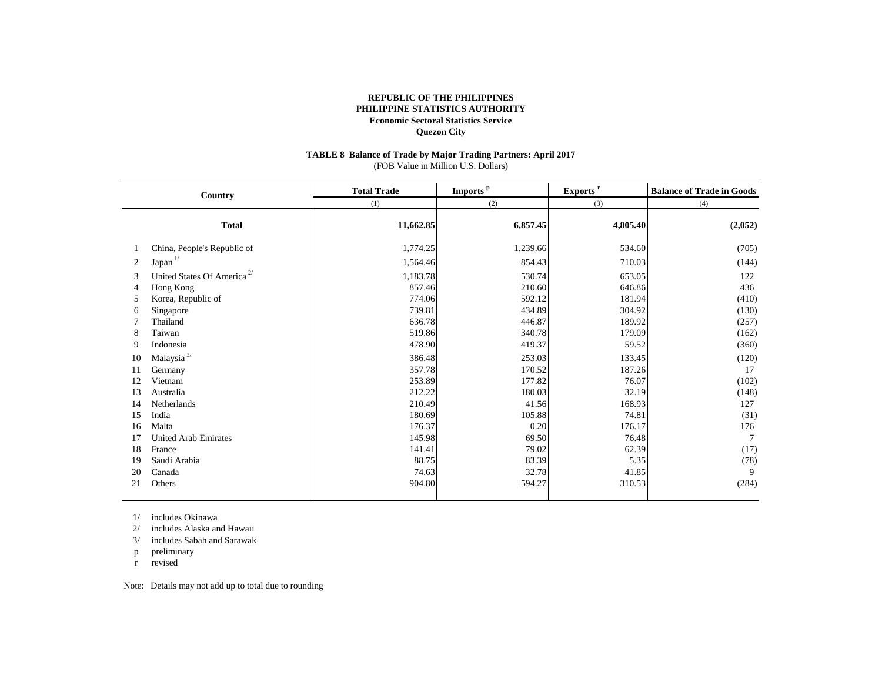#### **TABLE 8 Balance of Trade by Major Trading Partners: April 2017** (FOB Value in Million U.S. Dollars)

|                | Country                                | <b>Total Trade</b> | Imports <sup>p</sup> | Exports <sup>r</sup> | <b>Balance of Trade in Goods</b> |  |
|----------------|----------------------------------------|--------------------|----------------------|----------------------|----------------------------------|--|
|                |                                        | (1)                | (2)                  | (3)                  | (4)                              |  |
|                | <b>Total</b>                           | 11,662.85          | 6,857.45             | 4,805.40             | (2,052)                          |  |
|                | China, People's Republic of            | 1,774.25           | 1,239.66             | 534.60               | (705)                            |  |
| 2              | Japan <sup>1/</sup>                    | 1,564.46           | 854.43               | 710.03               | (144)                            |  |
| 3              | United States Of America <sup>2/</sup> | 1,183.78           | 530.74               | 653.05               | 122                              |  |
| $\overline{4}$ | Hong Kong                              | 857.46             | 210.60               | 646.86               | 436                              |  |
| 5              | Korea, Republic of                     | 774.06             | 592.12               | 181.94               | (410)                            |  |
| 6              | Singapore                              | 739.81             | 434.89               | 304.92               | (130)                            |  |
|                | Thailand                               | 636.78             | 446.87               | 189.92               | (257)                            |  |
| 8              | Taiwan                                 | 519.86             | 340.78               | 179.09               | (162)                            |  |
| 9              | Indonesia                              | 478.90             | 419.37               | 59.52                | (360)                            |  |
| 10             | Malaysia $^{3\prime}$                  | 386.48             | 253.03               | 133.45               | (120)                            |  |
| 11             | Germany                                | 357.78             | 170.52               | 187.26               | 17                               |  |
| 12             | Vietnam                                | 253.89             | 177.82               | 76.07                | (102)                            |  |
| 13             | Australia                              | 212.22             | 180.03               | 32.19                | (148)                            |  |
| 14             | Netherlands                            | 210.49             | 41.56                | 168.93               | 127                              |  |
| 15             | India                                  | 180.69             | 105.88               | 74.81                | (31)                             |  |
| 16             | Malta                                  | 176.37             | 0.20                 | 176.17               | 176                              |  |
| 17             | <b>United Arab Emirates</b>            | 145.98             | 69.50                | 76.48                | $\overline{7}$                   |  |
| 18             | France                                 | 141.41             | 79.02                | 62.39                | (17)                             |  |
| 19             | Saudi Arabia                           | 88.75              | 83.39                | 5.35                 | (78)                             |  |
| 20             | Canada                                 | 74.63              | 32.78                | 41.85                | 9                                |  |
| 21             | Others                                 | 904.80             | 594.27               | 310.53               | (284)                            |  |
|                |                                        |                    |                      |                      |                                  |  |

1/ includes Okinawa

2/ includes Alaska and Hawaii

3/ includes Sabah and Sarawak

p preliminary

r revised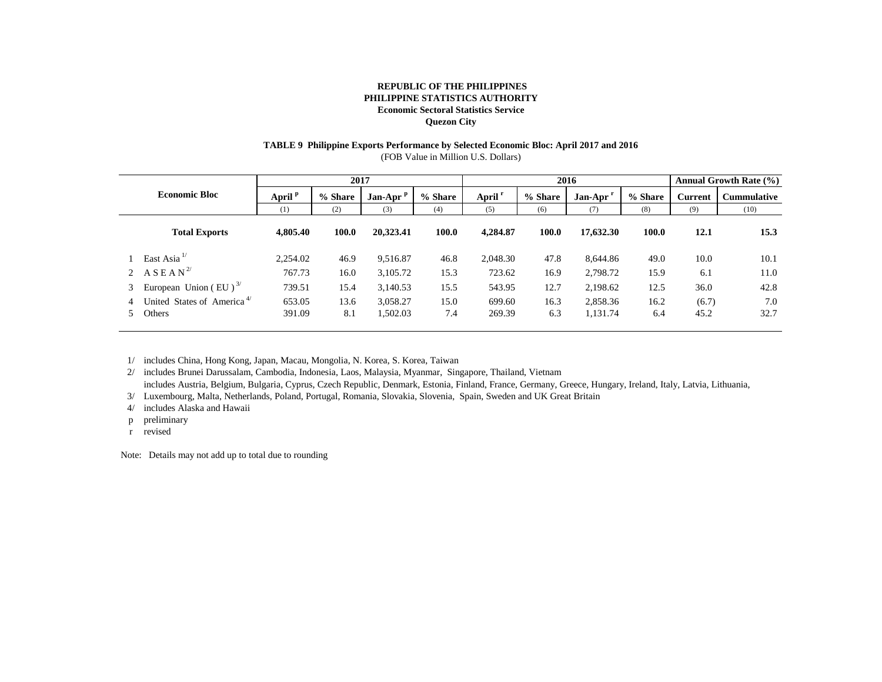#### **TABLE 9 Philippine Exports Performance by Selected Economic Bloc: April 2017 and 2016** (FOB Value in Million U.S. Dollars)

| <b>Economic Bloc</b> |                                                  | 2017               |             |                      |             | 2016               |             |                      |             | Annual Growth Rate (%) |                    |
|----------------------|--------------------------------------------------|--------------------|-------------|----------------------|-------------|--------------------|-------------|----------------------|-------------|------------------------|--------------------|
|                      |                                                  | April <sup>p</sup> | % Share     | Jan-Apr <sup>p</sup> | % Share     | April <sup>r</sup> | % Share     | Jan-Apr <sup>1</sup> | % Share     | <b>Current</b>         | <b>Cummulative</b> |
|                      |                                                  | (1)                | (2)         | (3)                  | (4)         | (5)                | (6)         | (7)                  | (8)         | (9)                    | (10)               |
|                      | <b>Total Exports</b>                             | 4,805.40           | 100.0       | 20,323.41            | 100.0       | 4,284.87           | 100.0       | 17,632.30            | 100.0       | 12.1                   | 15.3               |
|                      | East Asia $^{1/}$                                | 2,254.02           | 46.9        | 9.516.87             | 46.8        | 2,048.30           | 47.8        | 8.644.86             | 49.0        | 10.0                   | 10.1               |
|                      | 2 ASEAN <sup>2/</sup>                            | 767.73             | 16.0        | 3,105.72             | 15.3        | 723.62             | 16.9        | 2,798.72             | 15.9        | 6.1                    | 11.0               |
| 3                    | European Union (EU) $^{3/}$                      | 739.51             | 15.4        | 3,140.53             | 15.5        | 543.95             | 12.7        | 2,198.62             | 12.5        | 36.0                   | 42.8               |
|                      | United States of America <sup>4/</sup><br>Others | 653.05<br>391.09   | 13.6<br>8.1 | 3,058.27<br>1,502.03 | 15.0<br>7.4 | 699.60<br>269.39   | 16.3<br>6.3 | 2,858.36<br>1,131.74 | 16.2<br>6.4 | (6.7)<br>45.2          | 7.0<br>32.7        |
|                      |                                                  |                    |             |                      |             |                    |             |                      |             |                        |                    |

1/ includes China, Hong Kong, Japan, Macau, Mongolia, N. Korea, S. Korea, Taiwan

2/ includes Brunei Darussalam, Cambodia, Indonesia, Laos, Malaysia, Myanmar, Singapore, Thailand, Vietnam

includes Austria, Belgium, Bulgaria, Cyprus, Czech Republic, Denmark, Estonia, Finland, France, Germany, Greece, Hungary, Ireland, Italy, Latvia, Lithuania,

3/ Luxembourg, Malta, Netherlands, Poland, Portugal, Romania, Slovakia, Slovenia, Spain, Sweden and UK Great Britain

4/ includes Alaska and Hawaii

p preliminary

r revised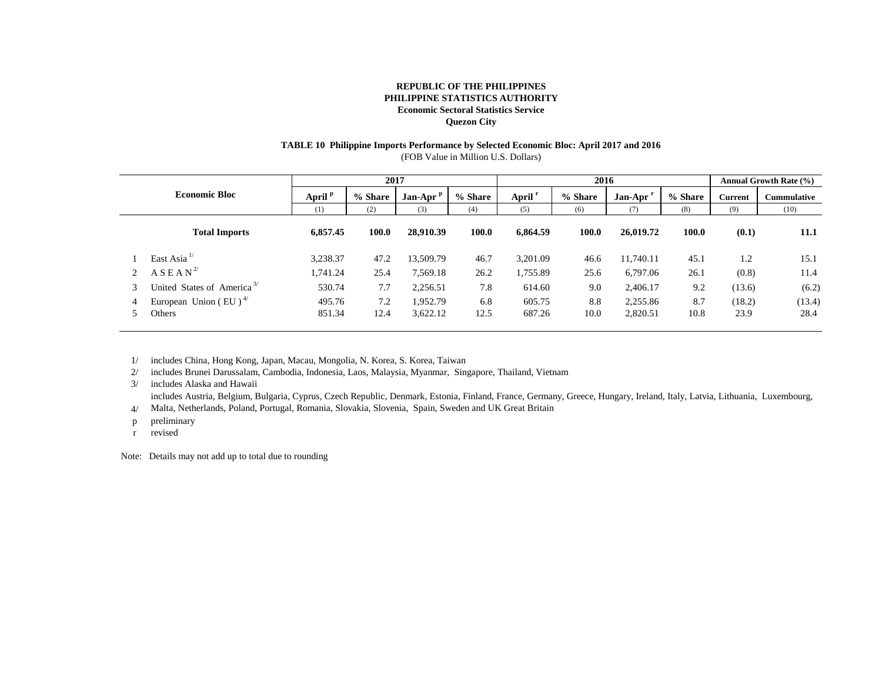# **TABLE 10 Philippine Imports Performance by Selected Economic Bloc: April 2017 and 2016**

(FOB Value in Million U.S. Dollars)

| <b>Economic Bloc</b> |                                                |                    | 2017    |           |         | 2016               |         |           |              | <b>Annual Growth Rate (%)</b> |                    |
|----------------------|------------------------------------------------|--------------------|---------|-----------|---------|--------------------|---------|-----------|--------------|-------------------------------|--------------------|
|                      |                                                | April <sup>P</sup> | % Share | Jan-Apr P | % Share | April <sup>r</sup> | % Share | Jan-Apr   | % Share      | <b>Current</b>                | <b>Cummulative</b> |
|                      |                                                | (1)                | (2)     | (3)       | (4)     | (5)                | (6)     | (7)       | (8)          | (9)                           | (10)               |
|                      | <b>Total Imports</b>                           | 6,857.45           | 100.0   | 28,910.39 | 100.0   | 6,864.59           | 100.0   | 26,019.72 | <b>100.0</b> | (0.1)                         | 11.1               |
|                      | East Asia $^{1/}$                              | 3,238.37           | 47.2    | 13,509.79 | 46.7    | 3,201.09           | 46.6    | 11,740.11 | 45.1         | 1.2                           | 15.1               |
|                      | $A S E A N^{2/3}$                              | 1,741.24           | 25.4    | 7,569.18  | 26.2    | 1,755.89           | 25.6    | 6,797.06  | 26.1         | (0.8)                         | 11.4               |
| 3                    | United States of America <sup>3/</sup>         | 530.74             | 7.7     | 2,256.51  | 7.8     | 614.60             | 9.0     | 2,406.17  | 9.2          | (13.6)                        | (6.2)              |
|                      | European Union (EU) <sup><math>4/</math></sup> | 495.76             | 7.2     | 1.952.79  | 6.8     | 605.75             | 8.8     | 2,255.86  | 8.7          | (18.2)                        | (13.4)             |
|                      | Others                                         | 851.34             | 12.4    | 3,622.12  | 12.5    | 687.26             | 10.0    | 2,820.51  | 10.8         | 23.9                          | 28.4               |
|                      |                                                |                    |         |           |         |                    |         |           |              |                               |                    |

1/ includes China, Hong Kong, Japan, Macau, Mongolia, N. Korea, S. Korea, Taiwan

2/ includes Brunei Darussalam, Cambodia, Indonesia, Laos, Malaysia, Myanmar, Singapore, Thailand, Vietnam

3/ includes Alaska and Hawaii

includes Austria, Belgium, Bulgaria, Cyprus, Czech Republic, Denmark, Estonia, Finland, France, Germany, Greece, Hungary, Ireland, Italy, Latvia, Lithuania, Luxembourg,

4/ Malta, Netherlands, Poland, Portugal, Romania, Slovakia, Slovenia, Spain, Sweden and UK Great Britain

p preliminary

r revised